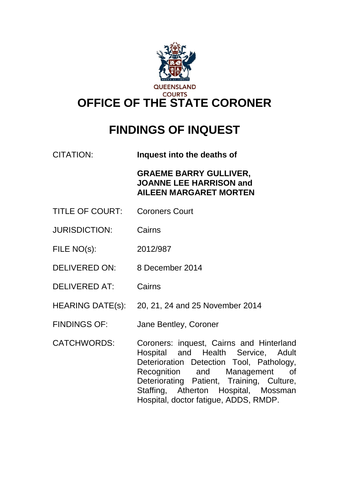

# **FINDINGS OF INQUEST**

CITATION: **Inquest into the deaths of** 

**GRAEME BARRY GULLIVER, JOANNE LEE HARRISON and AILEEN MARGARET MORTEN**

- TITLE OF COURT: Coroners Court
- JURISDICTION: Cairns
- FILE NO(s): 2012/987
- DELIVERED ON: 8 December 2014
- DELIVERED AT: Cairns
- HEARING DATE(s): 20, 21, 24 and 25 November 2014
- FINDINGS OF: Jane Bentley, Coroner
- CATCHWORDS: Coroners: inquest, Cairns and Hinterland Hospital and Health Service, Adult Deterioration Detection Tool, Pathology, Recognition and Management of Deteriorating Patient, Training, Culture, Staffing, Atherton Hospital, Mossman Hospital, doctor fatigue, ADDS, RMDP.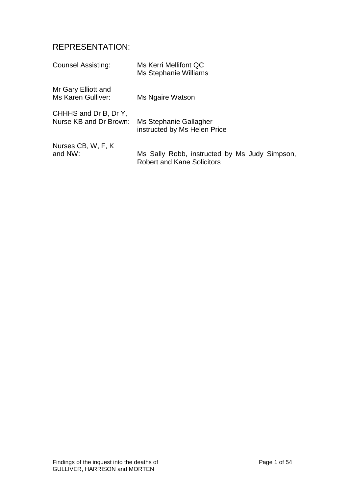# REPRESENTATION:

| <b>Counsel Assisting:</b>                 | Ms Kerri Mellifont QC<br>Ms Stephanie Williams |
|-------------------------------------------|------------------------------------------------|
| Mr Gary Elliott and<br>Ms Karen Gulliver: | Ms Ngaire Watson                               |
| CHHHS and Dr B, Dr Y,                     | Ms Stephanie Gallagher                         |
| Nurse KB and Dr Brown:                    | instructed by Ms Helen Price                   |
| Nurses CB, W, F, K                        | Ms Sally Robb, instructed by Ms Judy Simpson,  |
| and NW:                                   | <b>Robert and Kane Solicitors</b>              |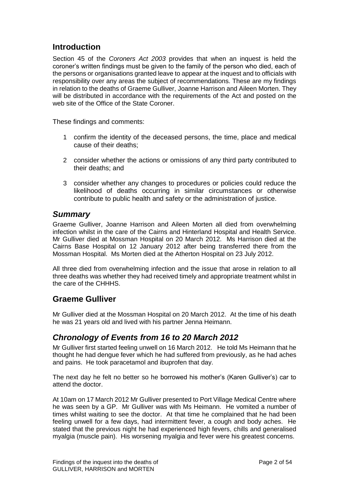# **Introduction**

Section 45 of the *Coroners Act 2003* provides that when an inquest is held the coroner's written findings must be given to the family of the person who died, each of the persons or organisations granted leave to appear at the inquest and to officials with responsibility over any areas the subject of recommendations. These are my findings in relation to the deaths of Graeme Gulliver, Joanne Harrison and Aileen Morten. They will be distributed in accordance with the requirements of the Act and posted on the web site of the Office of the State Coroner.

These findings and comments:

- 1 confirm the identity of the deceased persons, the time, place and medical cause of their deaths;
- 2 consider whether the actions or omissions of any third party contributed to their deaths; and
- 3 consider whether any changes to procedures or policies could reduce the likelihood of deaths occurring in similar circumstances or otherwise contribute to public health and safety or the administration of justice.

### *Summary*

Graeme Gulliver, Joanne Harrison and Aileen Morten all died from overwhelming infection whilst in the care of the Cairns and Hinterland Hospital and Health Service. Mr Gulliver died at Mossman Hospital on 20 March 2012. Ms Harrison died at the Cairns Base Hospital on 12 January 2012 after being transferred there from the Mossman Hospital. Ms Morten died at the Atherton Hospital on 23 July 2012.

All three died from overwhelming infection and the issue that arose in relation to all three deaths was whether they had received timely and appropriate treatment whilst in the care of the CHHHS.

### **Graeme Gulliver**

Mr Gulliver died at the Mossman Hospital on 20 March 2012. At the time of his death he was 21 years old and lived with his partner Jenna Heimann.

### *Chronology of Events from 16 to 20 March 2012*

Mr Gulliver first started feeling unwell on 16 March 2012. He told Ms Heimann that he thought he had dengue fever which he had suffered from previously, as he had aches and pains. He took paracetamol and ibuprofen that day.

The next day he felt no better so he borrowed his mother's (Karen Gulliver's) car to attend the doctor.

At 10am on 17 March 2012 Mr Gulliver presented to Port Village Medical Centre where he was seen by a GP. Mr Gulliver was with Ms Heimann. He vomited a number of times whilst waiting to see the doctor. At that time he complained that he had been feeling unwell for a few days, had intermittent fever, a cough and body aches. He stated that the previous night he had experienced high fevers, chills and generalised myalgia (muscle pain). His worsening myalgia and fever were his greatest concerns.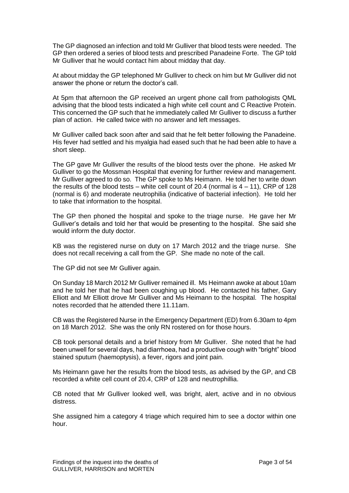The GP diagnosed an infection and told Mr Gulliver that blood tests were needed. The GP then ordered a series of blood tests and prescribed Panadeine Forte. The GP told Mr Gulliver that he would contact him about midday that day.

At about midday the GP telephoned Mr Gulliver to check on him but Mr Gulliver did not answer the phone or return the doctor's call.

At 5pm that afternoon the GP received an urgent phone call from pathologists QML advising that the blood tests indicated a high white cell count and C Reactive Protein. This concerned the GP such that he immediately called Mr Gulliver to discuss a further plan of action. He called twice with no answer and left messages.

Mr Gulliver called back soon after and said that he felt better following the Panadeine. His fever had settled and his myalgia had eased such that he had been able to have a short sleep.

The GP gave Mr Gulliver the results of the blood tests over the phone. He asked Mr Gulliver to go the Mossman Hospital that evening for further review and management. Mr Gulliver agreed to do so. The GP spoke to Ms Heimann. He told her to write down the results of the blood tests – white cell count of 20.4 (normal is  $4 - 11$ ), CRP of 128 (normal is 6) and moderate neutrophilia (indicative of bacterial infection). He told her to take that information to the hospital.

The GP then phoned the hospital and spoke to the triage nurse. He gave her Mr Gulliver's details and told her that would be presenting to the hospital. She said she would inform the duty doctor.

KB was the registered nurse on duty on 17 March 2012 and the triage nurse. She does not recall receiving a call from the GP. She made no note of the call.

The GP did not see Mr Gulliver again.

On Sunday 18 March 2012 Mr Gulliver remained ill. Ms Heimann awoke at about 10am and he told her that he had been coughing up blood. He contacted his father, Gary Elliott and Mr Elliott drove Mr Gulliver and Ms Heimann to the hospital. The hospital notes recorded that he attended there 11.11am.

CB was the Registered Nurse in the Emergency Department (ED) from 6.30am to 4pm on 18 March 2012. She was the only RN rostered on for those hours.

CB took personal details and a brief history from Mr Gulliver. She noted that he had been unwell for several days, had diarrhoea, had a productive cough with "bright" blood stained sputum (haemoptysis), a fever, rigors and joint pain.

Ms Heimann gave her the results from the blood tests, as advised by the GP, and CB recorded a white cell count of 20.4, CRP of 128 and neutrophillia.

CB noted that Mr Gulliver looked well, was bright, alert, active and in no obvious distress.

She assigned him a category 4 triage which required him to see a doctor within one hour.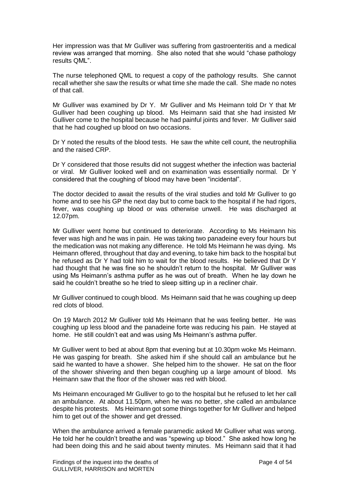Her impression was that Mr Gulliver was suffering from gastroenteritis and a medical review was arranged that morning. She also noted that she would "chase pathology results QML".

The nurse telephoned QML to request a copy of the pathology results. She cannot recall whether she saw the results or what time she made the call. She made no notes of that call.

Mr Gulliver was examined by Dr Y. Mr Gulliver and Ms Heimann told Dr Y that Mr Gulliver had been coughing up blood. Ms Heimann said that she had insisted Mr Gulliver come to the hospital because he had painful joints and fever. Mr Gulliver said that he had coughed up blood on two occasions.

Dr Y noted the results of the blood tests. He saw the white cell count, the neutrophilia and the raised CRP.

Dr Y considered that those results did not suggest whether the infection was bacterial or viral. Mr Gulliver looked well and on examination was essentially normal. Dr Y considered that the coughing of blood may have been "incidental".

The doctor decided to await the results of the viral studies and told Mr Gulliver to go home and to see his GP the next day but to come back to the hospital if he had rigors, fever, was coughing up blood or was otherwise unwell. He was discharged at 12.07pm.

Mr Gulliver went home but continued to deteriorate. According to Ms Heimann his fever was high and he was in pain. He was taking two panadeine every four hours but the medication was not making any difference. He told Ms Heimann he was dying. Ms Heimann offered, throughout that day and evening, to take him back to the hospital but he refused as Dr Y had told him to wait for the blood results. He believed that Dr Y had thought that he was fine so he shouldn't return to the hospital. Mr Gulliver was using Ms Heimann's asthma puffer as he was out of breath. When he lay down he said he couldn't breathe so he tried to sleep sitting up in a recliner chair.

Mr Gulliver continued to cough blood. Ms Heimann said that he was coughing up deep red clots of blood.

On 19 March 2012 Mr Gulliver told Ms Heimann that he was feeling better. He was coughing up less blood and the panadeine forte was reducing his pain. He stayed at home. He still couldn't eat and was using Ms Heimann's asthma puffer.

Mr Gulliver went to bed at about 8pm that evening but at 10.30pm woke Ms Heimann. He was gasping for breath. She asked him if she should call an ambulance but he said he wanted to have a shower. She helped him to the shower. He sat on the floor of the shower shivering and then began coughing up a large amount of blood. Ms Heimann saw that the floor of the shower was red with blood.

Ms Heimann encouraged Mr Gulliver to go to the hospital but he refused to let her call an ambulance. At about 11.50pm, when he was no better, she called an ambulance despite his protests. Ms Heimann got some things together for Mr Gulliver and helped him to get out of the shower and get dressed.

When the ambulance arrived a female paramedic asked Mr Gulliver what was wrong. He told her he couldn't breathe and was "spewing up blood." She asked how long he had been doing this and he said about twenty minutes. Ms Heimann said that it had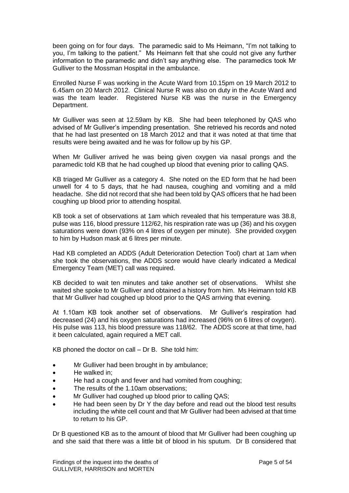been going on for four days. The paramedic said to Ms Heimann, "I'm not talking to you, I'm talking to the patient." Ms Heimann felt that she could not give any further information to the paramedic and didn't say anything else. The paramedics took Mr Gulliver to the Mossman Hospital in the ambulance.

Enrolled Nurse F was working in the Acute Ward from 10.15pm on 19 March 2012 to 6.45am on 20 March 2012. Clinical Nurse R was also on duty in the Acute Ward and was the team leader. Registered Nurse KB was the nurse in the Emergency Department.

Mr Gulliver was seen at 12.59am by KB. She had been telephoned by QAS who advised of Mr Gulliver's impending presentation. She retrieved his records and noted that he had last presented on 18 March 2012 and that it was noted at that time that results were being awaited and he was for follow up by his GP.

When Mr Gulliver arrived he was being given oxygen via nasal prongs and the paramedic told KB that he had coughed up blood that evening prior to calling QAS.

KB triaged Mr Gulliver as a category 4. She noted on the ED form that he had been unwell for 4 to 5 days, that he had nausea, coughing and vomiting and a mild headache. She did not record that she had been told by QAS officers that he had been coughing up blood prior to attending hospital.

KB took a set of observations at 1am which revealed that his temperature was 38.8, pulse was 116, blood pressure 112/62, his respiration rate was up (36) and his oxygen saturations were down (93% on 4 litres of oxygen per minute). She provided oxygen to him by Hudson mask at 6 litres per minute.

Had KB completed an ADDS (Adult Deterioration Detection Tool) chart at 1am when she took the observations, the ADDS score would have clearly indicated a Medical Emergency Team (MET) call was required.

KB decided to wait ten minutes and take another set of observations. Whilst she waited she spoke to Mr Gulliver and obtained a history from him. Ms Heimann told KB that Mr Gulliver had coughed up blood prior to the QAS arriving that evening.

At 1.10am KB took another set of observations. Mr Gulliver's respiration had decreased (24) and his oxygen saturations had increased (96% on 6 litres of oxygen). His pulse was 113, his blood pressure was 118/62. The ADDS score at that time, had it been calculated, again required a MET call.

KB phoned the doctor on call – Dr B. She told him:

- Mr Gulliver had been brought in by ambulance:
- He walked in:
- He had a cough and fever and had vomited from coughing;
- The results of the 1.10am observations;
- Mr Gulliver had coughed up blood prior to calling QAS;
- He had been seen by Dr Y the day before and read out the blood test results including the white cell count and that Mr Gulliver had been advised at that time to return to his GP.

Dr B questioned KB as to the amount of blood that Mr Gulliver had been coughing up and she said that there was a little bit of blood in his sputum. Dr B considered that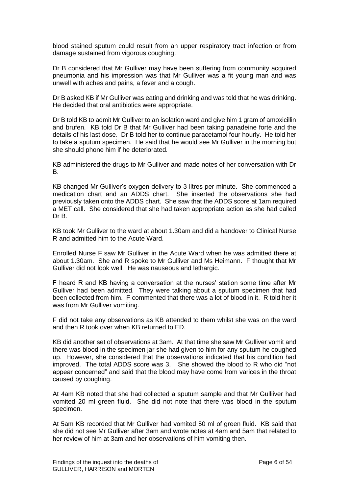blood stained sputum could result from an upper respiratory tract infection or from damage sustained from vigorous coughing.

Dr B considered that Mr Gulliver may have been suffering from community acquired pneumonia and his impression was that Mr Gulliver was a fit young man and was unwell with aches and pains, a fever and a cough.

Dr B asked KB if Mr Gulliver was eating and drinking and was told that he was drinking. He decided that oral antibiotics were appropriate.

Dr B told KB to admit Mr Gulliver to an isolation ward and give him 1 gram of amoxicillin and brufen. KB told Dr B that Mr Gulliver had been taking panadeine forte and the details of his last dose. Dr B told her to continue paracetamol four hourly. He told her to take a sputum specimen. He said that he would see Mr Gulliver in the morning but she should phone him if he deteriorated.

KB administered the drugs to Mr Gulliver and made notes of her conversation with Dr B.

KB changed Mr Gulliver's oxygen delivery to 3 litres per minute. She commenced a medication chart and an ADDS chart. She inserted the observations she had previously taken onto the ADDS chart. She saw that the ADDS score at 1am required a MET call. She considered that she had taken appropriate action as she had called Dr B.

KB took Mr Gulliver to the ward at about 1.30am and did a handover to Clinical Nurse R and admitted him to the Acute Ward.

Enrolled Nurse F saw Mr Gulliver in the Acute Ward when he was admitted there at about 1.30am. She and R spoke to Mr Gulliver and Ms Heimann. F thought that Mr Gulliver did not look well. He was nauseous and lethargic.

F heard R and KB having a conversation at the nurses' station some time after Mr Gulliver had been admitted. They were talking about a sputum specimen that had been collected from him. F commented that there was a lot of blood in it. R told her it was from Mr Gulliver vomiting.

F did not take any observations as KB attended to them whilst she was on the ward and then R took over when KB returned to ED.

KB did another set of observations at 3am. At that time she saw Mr Gulliver vomit and there was blood in the specimen jar she had given to him for any sputum he coughed up. However, she considered that the observations indicated that his condition had improved. The total ADDS score was 3. She showed the blood to R who did "not appear concerned" and said that the blood may have come from varices in the throat caused by coughing.

At 4am KB noted that she had collected a sputum sample and that Mr Gulliiver had vomited 20 ml green fluid. She did not note that there was blood in the sputum specimen.

At 5am KB recorded that Mr Gulliver had vomited 50 ml of green fluid. KB said that she did not see Mr Gulliver after 3am and wrote notes at 4am and 5am that related to her review of him at 3am and her observations of him vomiting then.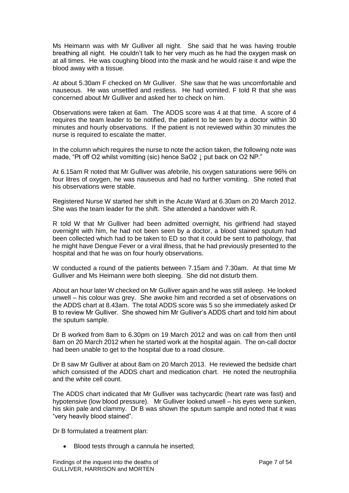Ms Heimann was with Mr Gulliver all night. She said that he was having trouble breathing all night. He couldn't talk to her very much as he had the oxygen mask on at all times. He was coughing blood into the mask and he would raise it and wipe the blood away with a tissue.

At about 5.30am F checked on Mr Gulliver. She saw that he was uncomfortable and nauseous. He was unsettled and restless. He had vomited. F told R that she was concerned about Mr Gulliver and asked her to check on him.

Observations were taken at 6am. The ADDS score was 4 at that time. A score of 4 requires the team leader to be notified, the patient to be seen by a doctor within 30 minutes and hourly observations. If the patient is not reviewed within 30 minutes the nurse is required to escalate the matter.

In the column which requires the nurse to note the action taken, the following note was made, "Pt off O2 whilst vomitting (sic) hence SaO2 ↓ put back on O2 NP."

At 6.15am R noted that Mr Gulliver was afebrile, his oxygen saturations were 96% on four litres of oxygen, he was nauseous and had no further vomiting. She noted that his observations were stable.

Registered Nurse W started her shift in the Acute Ward at 6.30am on 20 March 2012. She was the team leader for the shift. She attended a handover with R.

R told W that Mr Gulliver had been admitted overnight, his girlfriend had stayed overnight with him, he had not been seen by a doctor, a blood stained sputum had been collected which had to be taken to ED so that it could be sent to pathology, that he might have Dengue Fever or a viral illness, that he had previously presented to the hospital and that he was on four hourly observations.

W conducted a round of the patients between 7.15am and 7.30am. At that time Mr Gulliver and Ms Heimann were both sleeping. She did not disturb them.

About an hour later W checked on Mr Gulliver again and he was still asleep. He looked unwell – his colour was grey. She awoke him and recorded a set of observations on the ADDS chart at 8.43am. The total ADDS score was 5 so she immediately asked Dr B to review Mr Gulliver. She showed him Mr Gulliver's ADDS chart and told him about the sputum sample.

Dr B worked from 8am to 6.30pm on 19 March 2012 and was on call from then until 8am on 20 March 2012 when he started work at the hospital again. The on-call doctor had been unable to get to the hospital due to a road closure.

Dr B saw Mr Gulliver at about 8am on 20 March 2013. He reviewed the bedside chart which consisted of the ADDS chart and medication chart. He noted the neutrophilia and the white cell count.

The ADDS chart indicated that Mr Gulliver was tachycardic (heart rate was fast) and hypotensive (low blood pressure). Mr Gulliver looked unwell – his eyes were sunken, his skin pale and clammy. Dr B was shown the sputum sample and noted that it was "very heavily blood stained".

Dr B formulated a treatment plan:

• Blood tests through a cannula he inserted;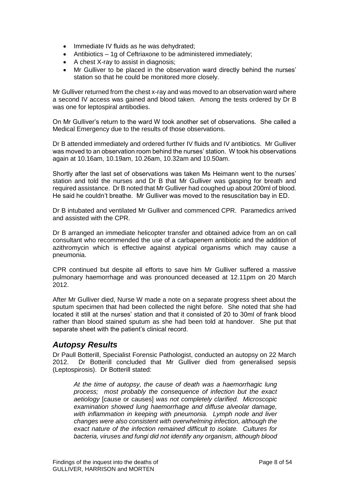- Immediate IV fluids as he was dehydrated;
- Antibiotics 1g of Ceftriaxone to be administered immediately;
- A chest X-ray to assist in diagnosis:
- Mr Gulliver to be placed in the observation ward directly behind the nurses' station so that he could be monitored more closely.

Mr Gulliver returned from the chest x-ray and was moved to an observation ward where a second IV access was gained and blood taken. Among the tests ordered by Dr B was one for leptospiral antibodies.

On Mr Gulliver's return to the ward W took another set of observations. She called a Medical Emergency due to the results of those observations.

Dr B attended immediately and ordered further IV fluids and IV antibiotics. Mr Gulliver was moved to an observation room behind the nurses' station. W took his observations again at 10.16am, 10.19am, 10.26am, 10.32am and 10.50am.

Shortly after the last set of observations was taken Ms Heimann went to the nurses' station and told the nurses and Dr B that Mr Gulliver was gasping for breath and required assistance. Dr B noted that Mr Gulliver had coughed up about 200ml of blood. He said he couldn't breathe. Mr Gulliver was moved to the resuscitation bay in ED.

Dr B intubated and ventilated Mr Gulliver and commenced CPR. Paramedics arrived and assisted with the CPR.

Dr B arranged an immediate helicopter transfer and obtained advice from an on call consultant who recommended the use of a carbapenem antibiotic and the addition of azithromycin which is effective against atypical organisms which may cause a pneumonia.

CPR continued but despite all efforts to save him Mr Gulliver suffered a massive pulmonary haemorrhage and was pronounced deceased at 12.11pm on 20 March 2012.

After Mr Gulliver died, Nurse W made a note on a separate progress sheet about the sputum specimen that had been collected the night before. She noted that she had located it still at the nurses' station and that it consisted of 20 to 30ml of frank blood rather than blood stained sputum as she had been told at handover. She put that separate sheet with the patient's clinical record.

### *Autopsy Results*

Dr Paull Botterill, Specialist Forensic Pathologist, conducted an autopsy on 22 March 2012. Dr Botterill concluded that Mr Gulliver died from generalised sepsis (Leptospirosis). Dr Botterill stated:

*At the time of autopsy, the cause of death was a haemorrhagic lung process; most probably the consequence of infection but the exact aetiology* [cause or causes] *was not completely clarified. Microscopic examination showed lung haemorrhage and diffuse alveolar damage, with inflammation in keeping with pneumonia. Lymph node and liver changes were also consistent with overwhelming infection, although the exact nature of the infection remained difficult to isolate. Cultures for bacteria, viruses and fungi did not identify any organism, although blood*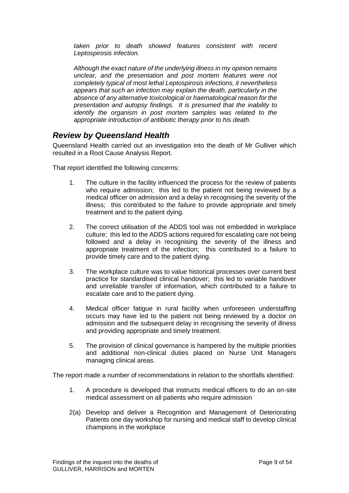*taken prior to death showed features consistent with recent Leptospirosis infection.* 

*Although the exact nature of the underlying illness in my opinion remains unclear, and the presentation and post mortem features were not completely typical of most lethal Leptospirosis infections, it nevertheless appears that such an infection may explain the death, particularly in the absence of any alternative toxicological or haematological reason for the presentation and autopsy findings. It is presumed that the inability to identify the organism in post mortem samples was related to the appropriate introduction of antibiotic therapy prior to his death.*

### *Review by Queensland Health*

Queensland Health carried out an investigation into the death of Mr Gulliver which resulted in a Root Cause Analysis Report.

That report identified the following concerns:

- 1. The culture in the facility influenced the process for the review of patients who require admission; this led to the patient not being reviewed by a medical officer on admission and a delay in recognising the severity of the illness; this contributed to the failure to provide appropriate and timely treatment and to the patient dying.
- 2. The correct utilisation of the ADDS tool was not embedded in workplace culture; this led to the ADDS actions required for escalating care not being followed and a delay in recognising the severity of the illness and appropriate treatment of the infection; this contributed to a failure to provide timely care and to the patient dying.
- 3. The workplace culture was to value historical processes over current best practice for standardised clinical handover; this led to variable handover and unreliable transfer of information, which contributed to a failure to escalate care and to the patient dying.
- 4. Medical officer fatigue in rural facility when unforeseen understaffing occurs may have led to the patient not being reviewed by a doctor on admission and the subsequent delay in recognising the severity of illness and providing appropriate and timely treatment.
- 5. The provision of clinical governance is hampered by the multiple priorities and additional non-clinical duties placed on Nurse Unit Managers managing clinical areas.

The report made a number of recommendations in relation to the shortfalls identified:

- 1. A procedure is developed that instructs medical officers to do an on-site medical assessment on all patients who require admission
- 2(a) Develop and deliver a Recognition and Management of Deteriorating Patients one day workshop for nursing and medical staff to develop clinical champions in the workplace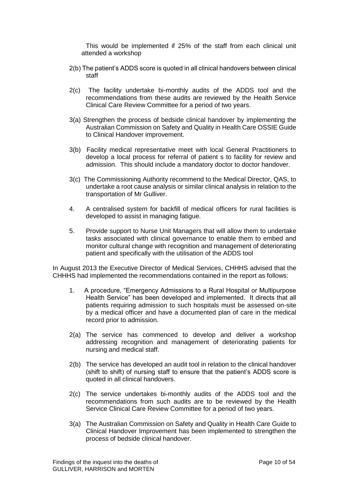This would be implemented if 25% of the staff from each clinical unit attended a workshop

- 2(b) The patient's ADDS score is quoted in all clinical handovers between clinical staff
- 2(c) The facility undertake bi-monthly audits of the ADDS tool and the recommendations from these audits are reviewed by the Health Service Clinical Care Review Committee for a period of two years.
- 3(a) Strengthen the process of bedside clinical handover by implementing the Australian Commission on Safety and Quality in Health Care OSSIE Guide to Clinical Handover improvement.
- 3(b) Facility medical representative meet with local General Practitioners to develop a local process for referral of patient s to facility for review and admission. This should include a mandatory doctor to doctor handover.
- 3(c) The Commissioning Authority recommend to the Medical Director, QAS, to undertake a root cause analysis or similar clinical analysis in relation to the transportation of Mr Gulliver.
- 4. A centralised system for backfill of medical officers for rural facilities is developed to assist in managing fatigue.
- 5. Provide support to Nurse Unit Managers that will allow them to undertake tasks associated with clinical governance to enable them to embed and monitor cultural change with recognition and management of deteriorating patient and specifically with the utilisation of the ADDS tool

In August 2013 the Executive Director of Medical Services, CHHHS advised that the CHHHS had implemented the recommendations contained in the report as follows:

- 1. A procedure, "Emergency Admissions to a Rural Hospital or Multipurpose Health Service" has been developed and implemented. It directs that all patients requiring admission to such hospitals must be assessed on-site by a medical officer and have a documented plan of care in the medical record prior to admission.
- 2(a) The service has commenced to develop and deliver a workshop addressing recognition and management of deteriorating patients for nursing and medical staff.
- 2(b) The service has developed an audit tool in relation to the clinical handover (shift to shift) of nursing staff to ensure that the patient's ADDS score is quoted in all clinical handovers.
- 2(c) The service undertakes bi-monthly audits of the ADDS tool and the recommendations from such audits are to be reviewed by the Health Service Clinical Care Review Committee for a period of two years.
- 3(a) The Australian Commission on Safety and Quality in Health Care Guide to Clinical Handover Improvement has been implemented to strengthen the process of bedside clinical handover.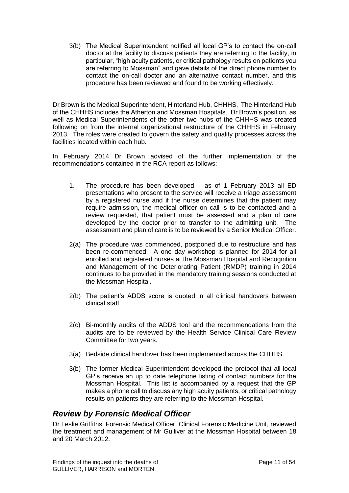3(b) The Medical Superintendent notified all local GP's to contact the on-call doctor at the facility to discuss patients they are referring to the facility, in particular, "high acuity patients, or critical pathology results on patients you are referring to Mossman" and gave details of the direct phone number to contact the on-call doctor and an alternative contact number, and this procedure has been reviewed and found to be working effectively.

Dr Brown is the Medical Superintendent, Hinterland Hub, CHHHS. The Hinterland Hub of the CHHHS includes the Atherton and Mossman Hospitals. Dr Brown's position, as well as Medical Superintendents of the other two hubs of the CHHHS was created following on from the internal organizational restructure of the CHHHS in February 2013. The roles were created to govern the safety and quality processes across the facilities located within each hub.

In February 2014 Dr Brown advised of the further implementation of the recommendations contained in the RCA report as follows:

- 1. The procedure has been developed as of 1 February 2013 all ED presentations who present to the service will receive a triage assessment by a registered nurse and if the nurse determines that the patient may require admission, the medical officer on call is to be contacted and a review requested, that patient must be assessed and a plan of care developed by the doctor prior to transfer to the admitting unit. The assessment and plan of care is to be reviewed by a Senior Medical Officer.
- 2(a) The procedure was commenced, postponed due to restructure and has been re-commenced. A one day workshop is planned for 2014 for all enrolled and registered nurses at the Mossman Hospital and Recognition and Management of the Deteriorating Patient (RMDP) training in 2014 continues to be provided in the mandatory training sessions conducted at the Mossman Hospital.
- 2(b) The patient's ADDS score is quoted in all clinical handovers between clinical staff.
- 2(c) Bi-monthly audits of the ADDS tool and the recommendations from the audits are to be reviewed by the Health Service Clinical Care Review Committee for two years.
- 3(a) Bedside clinical handover has been implemented across the CHHHS.
- 3(b) The former Medical Superintendent developed the protocol that all local GP's receive an up to date telephone listing of contact numbers for the Mossman Hospital. This list is accompanied by a request that the GP makes a phone call to discuss any high acuity patients, or critical pathology results on patients they are referring to the Mossman Hospital.

### *Review by Forensic Medical Officer*

Dr Leslie Griffiths, Forensic Medical Officer, Clinical Forensic Medicine Unit, reviewed the treatment and management of Mr Gulliver at the Mossman Hospital between 18 and 20 March 2012.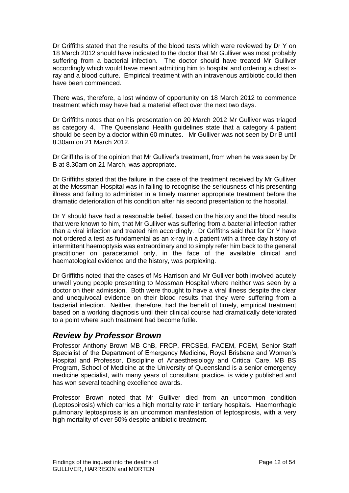Dr Griffiths stated that the results of the blood tests which were reviewed by Dr Y on 18 March 2012 should have indicated to the doctor that Mr Gulliver was most probably suffering from a bacterial infection. The doctor should have treated Mr Gulliver accordingly which would have meant admitting him to hospital and ordering a chest xray and a blood culture. Empirical treatment with an intravenous antibiotic could then have been commenced.

There was, therefore, a lost window of opportunity on 18 March 2012 to commence treatment which may have had a material effect over the next two days.

Dr Griffiths notes that on his presentation on 20 March 2012 Mr Gulliver was triaged as category 4. The Queensland Health guidelines state that a category 4 patient should be seen by a doctor within 60 minutes. Mr Gulliver was not seen by Dr B until 8.30am on 21 March 2012.

Dr Griffiths is of the opinion that Mr Gulliver's treatment, from when he was seen by Dr B at 8.30am on 21 March, was appropriate.

Dr Griffiths stated that the failure in the case of the treatment received by Mr Gulliver at the Mossman Hospital was in failing to recognise the seriousness of his presenting illness and failing to administer in a timely manner appropriate treatment before the dramatic deterioration of his condition after his second presentation to the hospital.

Dr Y should have had a reasonable belief, based on the history and the blood results that were known to him, that Mr Gulliver was suffering from a bacterial infection rather than a viral infection and treated him accordingly. Dr Griffiths said that for Dr Y have not ordered a test as fundamental as an x-ray in a patient with a three day history of intermittent haemoptysis was extraordinary and to simply refer him back to the general practitioner on paracetamol only, in the face of the available clinical and haematological evidence and the history, was perplexing.

Dr Griffiths noted that the cases of Ms Harrison and Mr Gulliver both involved acutely unwell young people presenting to Mossman Hospital where neither was seen by a doctor on their admission. Both were thought to have a viral illness despite the clear and unequivocal evidence on their blood results that they were suffering from a bacterial infection. Neither, therefore, had the benefit of timely, empirical treatment based on a working diagnosis until their clinical course had dramatically deteriorated to a point where such treatment had become futile.

# *Review by Professor Brown*

Professor Anthony Brown MB ChB, FRCP, FRCSEd, FACEM, FCEM, Senior Staff Specialist of the Department of Emergency Medicine, Royal Brisbane and Women's Hospital and Professor, Discipline of Anaesthesiology and Critical Care, MB BS Program, School of Medicine at the University of Queensland is a senior emergency medicine specialist, with many years of consultant practice, is widely published and has won several teaching excellence awards.

Professor Brown noted that Mr Gulliver died from an uncommon condition (Leptospirosis) which carries a high mortality rate in tertiary hospitals. Haemorrhagic pulmonary leptospirosis is an uncommon manifestation of leptospirosis, with a very high mortality of over 50% despite antibiotic treatment.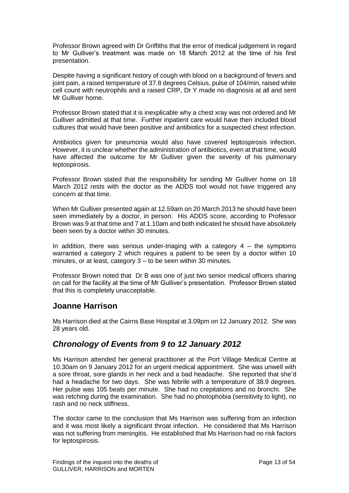Professor Brown agreed with Dr Griffiths that the error of medical judgement in regard to Mr Gulliver's treatment was made on 18 March 2012 at the time of his first presentation.

Despite having a significant history of cough with blood on a background of fevers and joint pain, a raised temperature of 37.8 degrees Celsius, pulse of 104/min, raised white cell count with neutrophils and a raised CRP, Dr Y made no diagnosis at all and sent Mr Gulliver home.

Professor Brown stated that it is inexplicable why a chest xray was not ordered and Mr Gulliver admitted at that time. Further inpatient care would have then included blood cultures that would have been positive and antibiotics for a suspected chest infection.

Antibiotics given for pneumonia would also have covered leptospirosis infection. However, it is unclear whether the administration of antibiotics, even at that time, would have affected the outcome for Mr Gulliver given the severity of his pulmonary leptospirosis.

Professor Brown stated that the responsibility for sending Mr Gulliver home on 18 March 2012 rests with the doctor as the ADDS tool would not have triggered any concern at that time.

When Mr Gulliver presented again at 12.59am on 20 March 2013 he should have been seen immediately by a doctor, in person. His ADDS score, according to Professor Brown was 9 at that time and 7 at 1.10am and both indicated he should have absolutely been seen by a doctor within 30 minutes.

In addition, there was serious under-triaging with a category  $4 -$  the symptoms warranted a category 2 which requires a patient to be seen by a doctor within 10 minutes, or at least, category 3 – to be seen within 30 minutes.

Professor Brown noted that Dr B was one of just two senior medical officers sharing on call for the facility at the time of Mr Gulliver's presentation. Professor Brown stated that this is completely unacceptable.

### **Joanne Harrison**

Ms Harrison died at the Cairns Base Hospital at 3.09pm on 12 January 2012. She was 28 years old.

### *Chronology of Events from 9 to 12 January 2012*

Ms Harrison attended her general practitioner at the Port Village Medical Centre at 10.30am on 9 January 2012 for an urgent medical appointment. She was unwell with a sore throat, sore glands in her neck and a bad headache. She reported that she'd had a headache for two days. She was febrile with a temperature of 38.9 degrees. Her pulse was 105 beats per minute. She had no crepitations and no bronchi. She was retching during the examination. She had no photophobia (sensitivity to light), no rash and no neck stiffness.

The doctor came to the conclusion that Ms Harrison was suffering from an infection and it was most likely a significant throat infection. He considered that Ms Harrison was not suffering from meningitis. He established that Ms Harrison had no risk factors for leptospirosis.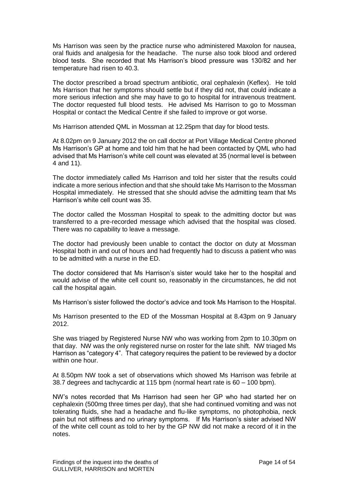Ms Harrison was seen by the practice nurse who administered Maxolon for nausea, oral fluids and analgesia for the headache. The nurse also took blood and ordered blood tests. She recorded that Ms Harrison's blood pressure was 130/82 and her temperature had risen to 40.3.

The doctor prescribed a broad spectrum antibiotic, oral cephalexin (Keflex). He told Ms Harrison that her symptoms should settle but if they did not, that could indicate a more serious infection and she may have to go to hospital for intravenous treatment. The doctor requested full blood tests. He advised Ms Harrison to go to Mossman Hospital or contact the Medical Centre if she failed to improve or got worse.

Ms Harrison attended QML in Mossman at 12.25pm that day for blood tests.

At 8.02pm on 9 January 2012 the on call doctor at Port Village Medical Centre phoned Ms Harrison's GP at home and told him that he had been contacted by QML who had advised that Ms Harrison's white cell count was elevated at 35 (normal level is between 4 and 11).

The doctor immediately called Ms Harrison and told her sister that the results could indicate a more serious infection and that she should take Ms Harrison to the Mossman Hospital immediately. He stressed that she should advise the admitting team that Ms Harrison's white cell count was 35.

The doctor called the Mossman Hospital to speak to the admitting doctor but was transferred to a pre-recorded message which advised that the hospital was closed. There was no capability to leave a message.

The doctor had previously been unable to contact the doctor on duty at Mossman Hospital both in and out of hours and had frequently had to discuss a patient who was to be admitted with a nurse in the ED.

The doctor considered that Ms Harrison's sister would take her to the hospital and would advise of the white cell count so, reasonably in the circumstances, he did not call the hospital again.

Ms Harrison's sister followed the doctor's advice and took Ms Harrison to the Hospital.

Ms Harrison presented to the ED of the Mossman Hospital at 8.43pm on 9 January 2012.

She was triaged by Registered Nurse NW who was working from 2pm to 10.30pm on that day. NW was the only registered nurse on roster for the late shift. NW triaged Ms Harrison as "category 4". That category requires the patient to be reviewed by a doctor within one hour.

At 8.50pm NW took a set of observations which showed Ms Harrison was febrile at 38.7 degrees and tachycardic at 115 bpm (normal heart rate is 60 – 100 bpm).

NW's notes recorded that Ms Harrison had seen her GP who had started her on cephalexin (500mg three times per day), that she had continued vomiting and was not tolerating fluids, she had a headache and flu-like symptoms, no photophobia, neck pain but not stiffness and no urinary symptoms. If Ms Harrison's sister advised NW of the white cell count as told to her by the GP NW did not make a record of it in the notes.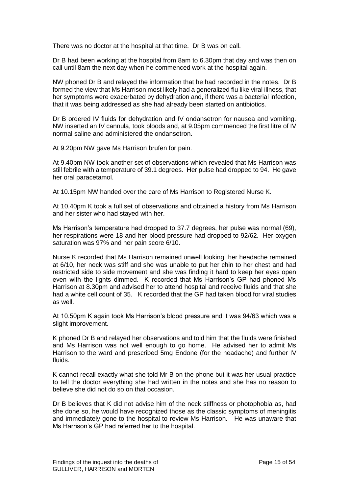There was no doctor at the hospital at that time. Dr B was on call.

Dr B had been working at the hospital from 8am to 6.30pm that day and was then on call until 8am the next day when he commenced work at the hospital again.

NW phoned Dr B and relayed the information that he had recorded in the notes. Dr B formed the view that Ms Harrison most likely had a generalized flu like viral illness, that her symptoms were exacerbated by dehydration and, if there was a bacterial infection, that it was being addressed as she had already been started on antibiotics.

Dr B ordered IV fluids for dehydration and IV ondansetron for nausea and vomiting. NW inserted an IV cannula, took bloods and, at 9.05pm commenced the first litre of IV normal saline and administered the ondansetron.

At 9.20pm NW gave Ms Harrison brufen for pain.

At 9.40pm NW took another set of observations which revealed that Ms Harrison was still febrile with a temperature of 39.1 degrees. Her pulse had dropped to 94. He gave her oral paracetamol.

At 10.15pm NW handed over the care of Ms Harrison to Registered Nurse K.

At 10.40pm K took a full set of observations and obtained a history from Ms Harrison and her sister who had stayed with her.

Ms Harrison's temperature had dropped to 37.7 degrees, her pulse was normal (69), her respirations were 18 and her blood pressure had dropped to 92/62. Her oxygen saturation was 97% and her pain score 6/10.

Nurse K recorded that Ms Harrison remained unwell looking, her headache remained at 6/10, her neck was stiff and she was unable to put her chin to her chest and had restricted side to side movement and she was finding it hard to keep her eyes open even with the lights dimmed. K recorded that Ms Harrison's GP had phoned Ms Harrison at 8.30pm and advised her to attend hospital and receive fluids and that she had a white cell count of 35. K recorded that the GP had taken blood for viral studies as well.

At 10.50pm K again took Ms Harrison's blood pressure and it was 94/63 which was a slight improvement.

K phoned Dr B and relayed her observations and told him that the fluids were finished and Ms Harrison was not well enough to go home. He advised her to admit Ms Harrison to the ward and prescribed 5mg Endone (for the headache) and further IV fluids.

K cannot recall exactly what she told Mr B on the phone but it was her usual practice to tell the doctor everything she had written in the notes and she has no reason to believe she did not do so on that occasion.

Dr B believes that K did not advise him of the neck stiffness or photophobia as, had she done so, he would have recognized those as the classic symptoms of meningitis and immediately gone to the hospital to review Ms Harrison. He was unaware that Ms Harrison's GP had referred her to the hospital.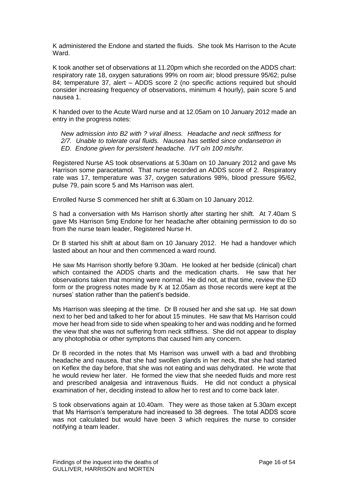K administered the Endone and started the fluids. She took Ms Harrison to the Acute Ward.

K took another set of observations at 11.20pm which she recorded on the ADDS chart: respiratory rate 18, oxygen saturations 99% on room air; blood pressure 95/62; pulse 84; temperature 37, alert – ADDS score 2 (no specific actions required but should consider increasing frequency of observations, minimum 4 hourly), pain score 5 and nausea 1.

K handed over to the Acute Ward nurse and at 12.05am on 10 January 2012 made an entry in the progress notes:

*New admission into B2 with ? viral illness. Headache and neck stiffness for 2/7. Unable to tolerate oral fluids. Nausea has settled since ondansetron in ED. Endone given for persistent headache. IVT o/n 100 mls/hr.*

Registered Nurse AS took observations at 5.30am on 10 January 2012 and gave Ms Harrison some paracetamol. That nurse recorded an ADDS score of 2. Respiratory rate was 17, temperature was 37, oxygen saturations 98%, blood pressure 95/62, pulse 79, pain score 5 and Ms Harrison was alert.

Enrolled Nurse S commenced her shift at 6.30am on 10 January 2012.

S had a conversation with Ms Harrison shortly after starting her shift. At 7.40am S gave Ms Harrison 5mg Endone for her headache after obtaining permission to do so from the nurse team leader, Registered Nurse H.

Dr B started his shift at about 8am on 10 January 2012. He had a handover which lasted about an hour and then commenced a ward round.

He saw Ms Harrison shortly before 9.30am. He looked at her bedside (clinical) chart which contained the ADDS charts and the medication charts. He saw that her observations taken that morning were normal. He did not, at that time, review the ED form or the progress notes made by K at 12.05am as those records were kept at the nurses' station rather than the patient's bedside.

Ms Harrison was sleeping at the time. Dr B roused her and she sat up. He sat down next to her bed and talked to her for about 15 minutes. He saw that Ms Harrison could move her head from side to side when speaking to her and was nodding and he formed the view that she was not suffering from neck stiffness. She did not appear to display any photophobia or other symptoms that caused him any concern.

Dr B recorded in the notes that Ms Harrison was unwell with a bad and throbbing headache and nausea, that she had swollen glands in her neck, that she had started on Keflex the day before, that she was not eating and was dehydrated. He wrote that he would review her later. He formed the view that she needed fluids and more rest and prescribed analgesia and intravenous fluids. He did not conduct a physical examination of her, deciding instead to allow her to rest and to come back later.

S took observations again at 10.40am. They were as those taken at 5.30am except that Ms Harrison's temperature had increased to 38 degrees. The total ADDS score was not calculated but would have been 3 which requires the nurse to consider notifying a team leader.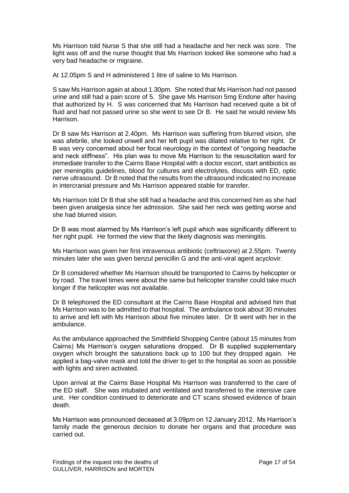Ms Harrison told Nurse S that she still had a headache and her neck was sore. The light was off and the nurse thought that Ms Harrison looked like someone who had a very bad headache or migraine.

At 12.05pm S and H administered 1 litre of saline to Ms Harrison.

S saw Ms Harrison again at about 1.30pm. She noted that Ms Harrison had not passed urine and still had a pain score of 5. She gave Ms Harrison 5mg Endone after having that authorized by H. S was concerned that Ms Harrison had received quite a bit of fluid and had not passed urine so she went to see Dr B. He said he would review Ms Harrison.

Dr B saw Ms Harrison at 2.40pm. Ms Harrison was suffering from blurred vision, she was afebrile, she looked unwell and her left pupil was dilated relative to her right. Dr B was very concerned about her focal neurology in the context of "ongoing headache and neck stiffness". His plan was to move Ms Harrison to the resuscitation ward for immediate transfer to the Cairns Base Hospital with a doctor escort, start antibiotics as per meningitis guidelines, blood for cultures and electrolytes, discuss with ED, optic nerve ultrasound. Dr B noted that the results from the ultrasound indicated no increase in intercranial pressure and Ms Harrison appeared stable for transfer.

Ms Harrison told Dr B that she still had a headache and this concerned him as she had been given analgesia since her admission. She said her neck was getting worse and she had blurred vision.

Dr B was most alarmed by Ms Harrison's left pupil which was significantly different to her right pupil. He formed the view that the likely diagnosis was meningitis.

Ms Harrison was given her first intravenous antibiotic (ceftriaxone) at 2.55pm. Twenty minutes later she was given benzul penicillin G and the anti-viral agent acyclovir.

Dr B considered whether Ms Harrison should be transported to Cairns by helicopter or by road. The travel times were about the same but helicopter transfer could take much longer if the helicopter was not available.

Dr B telephoned the ED consultant at the Cairns Base Hospital and advised him that Ms Harrison was to be admitted to that hospital. The ambulance took about 30 minutes to arrive and left with Ms Harrison about five minutes later. Dr B went with her in the ambulance.

As the ambulance approached the Smithfield Shopping Centre (about 15 minutes from Cairns) Ms Harrison's oxygen saturations dropped. Dr B supplied supplementary oxygen which brought the saturations back up to 100 but they dropped again. He applied a bag-valve mask and told the driver to get to the hospital as soon as possible with lights and siren activated.

Upon arrival at the Cairns Base Hospital Ms Harrison was transferred to the care of the ED staff. She was intubated and ventilated and transferred to the intensive care unit. Her condition continued to deteriorate and CT scans showed evidence of brain death.

Ms Harrison was pronounced deceased at 3.09pm on 12 January 2012. Ms Harrison's family made the generous decision to donate her organs and that procedure was carried out.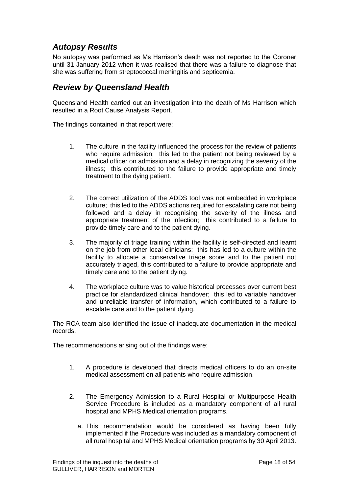# *Autopsy Results*

No autopsy was performed as Ms Harrison's death was not reported to the Coroner until 31 January 2012 when it was realised that there was a failure to diagnose that she was suffering from streptococcal meningitis and septicemia.

### *Review by Queensland Health*

Queensland Health carried out an investigation into the death of Ms Harrison which resulted in a Root Cause Analysis Report.

The findings contained in that report were:

- 1. The culture in the facility influenced the process for the review of patients who require admission; this led to the patient not being reviewed by a medical officer on admission and a delay in recognizing the severity of the illness; this contributed to the failure to provide appropriate and timely treatment to the dying patient.
- 2. The correct utilization of the ADDS tool was not embedded in workplace culture; this led to the ADDS actions required for escalating care not being followed and a delay in recognising the severity of the illness and appropriate treatment of the infection; this contributed to a failure to provide timely care and to the patient dying.
- 3. The majority of triage training within the facility is self-directed and learnt on the job from other local clinicians; this has led to a culture within the facility to allocate a conservative triage score and to the patient not accurately triaged, this contributed to a failure to provide appropriate and timely care and to the patient dying.
- 4. The workplace culture was to value historical processes over current best practice for standardized clinical handover; this led to variable handover and unreliable transfer of information, which contributed to a failure to escalate care and to the patient dying.

The RCA team also identified the issue of inadequate documentation in the medical records.

The recommendations arising out of the findings were:

- 1. A procedure is developed that directs medical officers to do an on-site medical assessment on all patients who require admission.
- 2. The Emergency Admission to a Rural Hospital or Multipurpose Health Service Procedure is included as a mandatory component of all rural hospital and MPHS Medical orientation programs.
	- a. This recommendation would be considered as having been fully implemented if the Procedure was included as a mandatory component of all rural hospital and MPHS Medical orientation programs by 30 April 2013.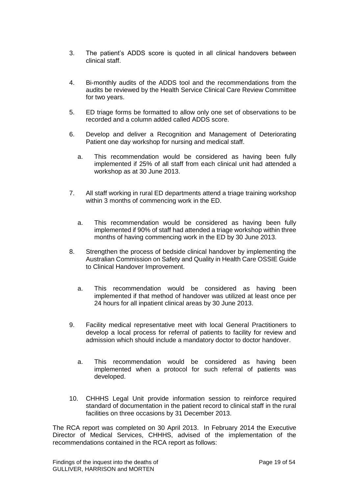- 3. The patient's ADDS score is quoted in all clinical handovers between clinical staff.
- 4. Bi-monthly audits of the ADDS tool and the recommendations from the audits be reviewed by the Health Service Clinical Care Review Committee for two years.
- 5. ED triage forms be formatted to allow only one set of observations to be recorded and a column added called ADDS score.
- 6. Develop and deliver a Recognition and Management of Deteriorating Patient one day workshop for nursing and medical staff.
	- a. This recommendation would be considered as having been fully implemented if 25% of all staff from each clinical unit had attended a workshop as at 30 June 2013.
- 7. All staff working in rural ED departments attend a triage training workshop within 3 months of commencing work in the ED.
	- a. This recommendation would be considered as having been fully implemented if 90% of staff had attended a triage workshop within three months of having commencing work in the ED by 30 June 2013.
- 8. Strengthen the process of bedside clinical handover by implementing the Australian Commission on Safety and Quality in Health Care OSSIE Guide to Clinical Handover Improvement.
	- a. This recommendation would be considered as having been implemented if that method of handover was utilized at least once per 24 hours for all inpatient clinical areas by 30 June 2013.
- 9. Facility medical representative meet with local General Practitioners to develop a local process for referral of patients to facility for review and admission which should include a mandatory doctor to doctor handover.
	- a. This recommendation would be considered as having been implemented when a protocol for such referral of patients was developed.
- 10. CHHHS Legal Unit provide information session to reinforce required standard of documentation in the patient record to clinical staff in the rural facilities on three occasions by 31 December 2013.

The RCA report was completed on 30 April 2013. In February 2014 the Executive Director of Medical Services, CHHHS, advised of the implementation of the recommendations contained in the RCA report as follows: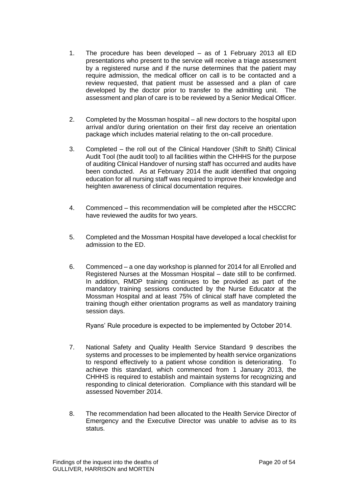- 1. The procedure has been developed as of 1 February 2013 all ED presentations who present to the service will receive a triage assessment by a registered nurse and if the nurse determines that the patient may require admission, the medical officer on call is to be contacted and a review requested, that patient must be assessed and a plan of care developed by the doctor prior to transfer to the admitting unit. The assessment and plan of care is to be reviewed by a Senior Medical Officer.
- 2. Completed by the Mossman hospital all new doctors to the hospital upon arrival and/or during orientation on their first day receive an orientation package which includes material relating to the on-call procedure.
- 3. Completed the roll out of the Clinical Handover (Shift to Shift) Clinical Audit Tool (the audit tool) to all facilities within the CHHHS for the purpose of auditing Clinical Handover of nursing staff has occurred and audits have been conducted. As at February 2014 the audit identified that ongoing education for all nursing staff was required to improve their knowledge and heighten awareness of clinical documentation requires.
- 4. Commenced this recommendation will be completed after the HSCCRC have reviewed the audits for two years.
- 5. Completed and the Mossman Hospital have developed a local checklist for admission to the ED.
- 6. Commenced a one day workshop is planned for 2014 for all Enrolled and Registered Nurses at the Mossman Hospital – date still to be confirmed. In addition, RMDP training continues to be provided as part of the mandatory training sessions conducted by the Nurse Educator at the Mossman Hospital and at least 75% of clinical staff have completed the training though either orientation programs as well as mandatory training session days.

Ryans' Rule procedure is expected to be implemented by October 2014.

- 7. National Safety and Quality Health Service Standard 9 describes the systems and processes to be implemented by health service organizations to respond effectively to a patient whose condition is deteriorating. To achieve this standard, which commenced from 1 January 2013, the CHHHS is required to establish and maintain systems for recognizing and responding to clinical deterioration. Compliance with this standard will be assessed November 2014.
- 8. The recommendation had been allocated to the Health Service Director of Emergency and the Executive Director was unable to advise as to its status.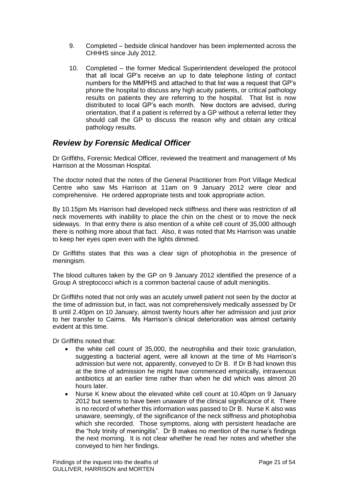- 9. Completed bedside clinical handover has been implemented across the CHHHS since July 2012.
- 10. Completed the former Medical Superintendent developed the protocol that all local GP's receive an up to date telephone listing of contact numbers for the MMPHS and attached to that list was a request that GP's phone the hospital to discuss any high acuity patients, or critical pathology results on patients they are referring to the hospital. That list is now distributed to local GP's each month. New doctors are advised, during orientation, that if a patient is referred by a GP without a referral letter they should call the GP to discuss the reason why and obtain any critical pathology results.

# *Review by Forensic Medical Officer*

Dr Griffiths, Forensic Medical Officer, reviewed the treatment and management of Ms Harrison at the Mossman Hospital.

The doctor noted that the notes of the General Practitioner from Port Village Medical Centre who saw Ms Harrison at 11am on 9 January 2012 were clear and comprehensive. He ordered appropriate tests and took appropriate action.

By 10.15pm Ms Harrison had developed neck stiffness and there was restriction of all neck movements with inability to place the chin on the chest or to move the neck sideways. In that entry there is also mention of a white cell count of 35,000 although there is nothing more about that fact. Also, it was noted that Ms Harrison was unable to keep her eyes open even with the lights dimmed.

Dr Griffiths states that this was a clear sign of photophobia in the presence of meningism.

The blood cultures taken by the GP on 9 January 2012 identified the presence of a Group A streptococci which is a common bacterial cause of adult meningitis.

Dr Griffiths noted that not only was an acutely unwell patient not seen by the doctor at the time of admission but, in fact, was not comprehensively medically assessed by Dr B until 2.40pm on 10 January, almost twenty hours after her admission and just prior to her transfer to Cairns. Ms Harrison's clinical deterioration was almost certainly evident at this time.

Dr Griffiths noted that:

- the white cell count of 35,000, the neutrophilia and their toxic granulation, suggesting a bacterial agent, were all known at the time of Ms Harrison's admission but were not, apparently, conveyed to Dr B. If Dr B had known this at the time of admission he might have commenced empirically, intravenous antibiotics at an earlier time rather than when he did which was almost 20 hours later.
- Nurse K knew about the elevated white cell count at 10.40pm on 9 January 2012 but seems to have been unaware of the clinical significance of it. There is no record of whether this information was passed to Dr B. Nurse K also was unaware, seemingly, of the significance of the neck stiffness and photophobia which she recorded. Those symptoms, along with persistent headache are the "holy trinity of meningitis". Dr B makes no mention of the nurse's findings the next morning. It is not clear whether he read her notes and whether she conveyed to him her findings.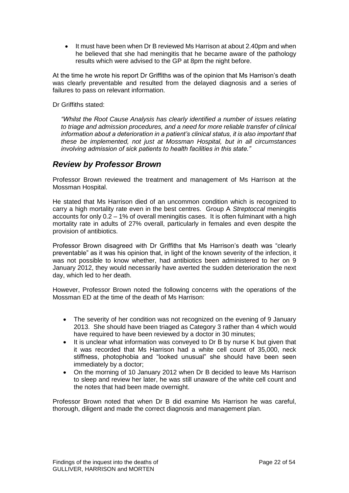It must have been when Dr B reviewed Ms Harrison at about 2.40pm and when he believed that she had meningitis that he became aware of the pathology results which were advised to the GP at 8pm the night before.

At the time he wrote his report Dr Griffiths was of the opinion that Ms Harrison's death was clearly preventable and resulted from the delayed diagnosis and a series of failures to pass on relevant information.

Dr Griffiths stated:

*"Whilst the Root Cause Analysis has clearly identified a number of issues relating to triage and admission procedures, and a need for more reliable transfer of clinical information about a deterioration in a patient's clinical status, it is also important that these be implemented, not just at Mossman Hospital, but in all circumstances involving admission of sick patients to health facilities in this state."*

### *Review by Professor Brown*

Professor Brown reviewed the treatment and management of Ms Harrison at the Mossman Hospital.

He stated that Ms Harrison died of an uncommon condition which is recognized to carry a high mortality rate even in the best centres. Group A *Streptoccal* meningitis accounts for only 0.2 – 1% of overall meningitis cases. It is often fulminant with a high mortality rate in adults of 27% overall, particularly in females and even despite the provision of antibiotics.

Professor Brown disagreed with Dr Griffiths that Ms Harrison's death was "clearly preventable" as it was his opinion that, in light of the known severity of the infection, it was not possible to know whether, had antibiotics been administered to her on 9 January 2012, they would necessarily have averted the sudden deterioration the next day, which led to her death.

However, Professor Brown noted the following concerns with the operations of the Mossman ED at the time of the death of Ms Harrison:

- The severity of her condition was not recognized on the evening of 9 January 2013. She should have been triaged as Category 3 rather than 4 which would have required to have been reviewed by a doctor in 30 minutes;
- It is unclear what information was conveved to Dr B by nurse K but given that it was recorded that Ms Harrison had a white cell count of 35,000, neck stiffness, photophobia and "looked unusual" she should have been seen immediately by a doctor;
- On the morning of 10 January 2012 when Dr B decided to leave Ms Harrison to sleep and review her later, he was still unaware of the white cell count and the notes that had been made overnight.

Professor Brown noted that when Dr B did examine Ms Harrison he was careful, thorough, diligent and made the correct diagnosis and management plan.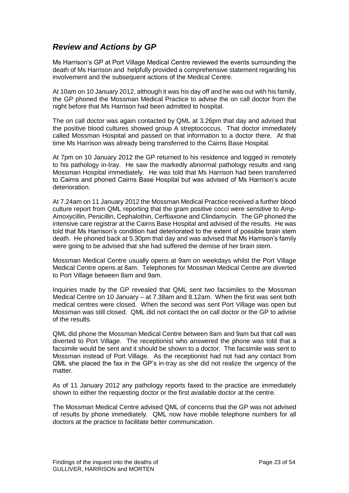# *Review and Actions by GP*

Ms Harrison's GP at Port Village Medical Centre reviewed the events surrounding the death of Ms Harrison and helpfully provided a comprehensive statement regarding his involvement and the subsequent actions of the Medical Centre.

At 10am on 10 January 2012, although it was his day off and he was out with his family, the GP phoned the Mossman Medical Practice to advise the on call doctor from the night before that Ms Harrison had been admitted to hospital.

The on call doctor was again contacted by QML at 3.26pm that day and advised that the positive blood cultures showed group A streptococcus. That doctor immediately called Mossman Hospital and passed on that information to a doctor there. At that time Ms Harrison was already being transferred to the Cairns Base Hospital.

At 7pm on 10 January 2012 the GP returned to his residence and logged in remotely to his pathology in-tray. He saw the markedly abnormal pathology results and rang Mossman Hospital immediately. He was told that Ms Harrison had been transferred to Cairns and phoned Cairns Base Hospital but was advised of Ms Harrison's acute deterioration.

At 7.24am on 11 January 2012 the Mossman Medical Practice received a further blood culture report from QML reporting that the gram positive cocci were sensitive to Amp-Amoxycillin, Penicillin, Cephalothin, Cerftiaxone and Clindamycin. The GP phoned the intensive care registrar at the Cairns Base Hospital and advised of the results. He was told that Ms Harrison's condition had deteriorated to the extent of possible brain stem death. He phoned back at 5.30pm that day and was advised that Ms Harrison's family were going to be advised that she had suffered the demise of her brain stem.

Mossman Medical Centre usually opens at 9am on weekdays whilst the Port Village Medical Centre opens at 8am. Telephones for Mossman Medical Centre are diverted to Port Village between 8am and 9am.

Inquiries made by the GP revealed that QML sent two facsimiles to the Mossman Medical Centre on 10 January – at 7.38am and 8.12am. When the first was sent both medical centres were closed. When the second was sent Port Village was open but Mossman was still closed. QML did not contact the on call doctor or the GP to advise of the results.

QML did phone the Mossman Medical Centre between 8am and 9am but that call was diverted to Port Village. The receptionist who answered the phone was told that a facsimile would be sent and it should be shown to a doctor. The facsimile was sent to Mossman instead of Port Village. As the receptionist had not had any contact from QML she placed the fax in the GP's in-tray as she did not realize the urgency of the matter.

As of 11 January 2012 any pathology reports faxed to the practice are immediately shown to either the requesting doctor or the first available doctor at the centre.

The Mossman Medical Centre advised QML of concerns that the GP was not advised of results by phone immediately. QML now have mobile telephone numbers for all doctors at the practice to facilitate better communication.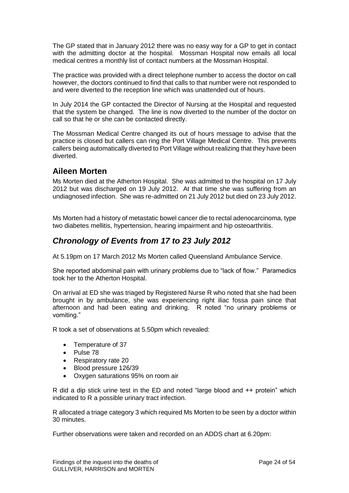The GP stated that in January 2012 there was no easy way for a GP to get in contact with the admitting doctor at the hospital. Mossman Hospital now emails all local medical centres a monthly list of contact numbers at the Mossman Hospital.

The practice was provided with a direct telephone number to access the doctor on call however, the doctors continued to find that calls to that number were not responded to and were diverted to the reception line which was unattended out of hours.

In July 2014 the GP contacted the Director of Nursing at the Hospital and requested that the system be changed. The line is now diverted to the number of the doctor on call so that he or she can be contacted directly.

The Mossman Medical Centre changed its out of hours message to advise that the practice is closed but callers can ring the Port Village Medical Centre. This prevents callers being automatically diverted to Port Village without realizing that they have been diverted.

### **Aileen Morten**

Ms Morten died at the Atherton Hospital. She was admitted to the hospital on 17 July 2012 but was discharged on 19 July 2012. At that time she was suffering from an undiagnosed infection. She was re-admitted on 21 July 2012 but died on 23 July 2012.

Ms Morten had a history of metastatic bowel cancer die to rectal adenocarcinoma, type two diabetes mellitis, hypertension, hearing impairment and hip osteoarthritis.

# *Chronology of Events from 17 to 23 July 2012*

At 5.19pm on 17 March 2012 Ms Morten called Queensland Ambulance Service.

She reported abdominal pain with urinary problems due to "lack of flow." Paramedics took her to the Atherton Hospital.

On arrival at ED she was triaged by Registered Nurse R who noted that she had been brought in by ambulance, she was experiencing right iliac fossa pain since that afternoon and had been eating and drinking. R noted "no urinary problems or vomiting."

R took a set of observations at 5.50pm which revealed:

- Temperature of 37
- Pulse 78
- Respiratory rate 20
- Blood pressure 126/39
- Oxygen saturations 95% on room air

R did a dip stick urine test in the ED and noted "large blood and ++ protein" which indicated to R a possible urinary tract infection.

R allocated a triage category 3 which required Ms Morten to be seen by a doctor within 30 minutes.

Further observations were taken and recorded on an ADDS chart at 6.20pm: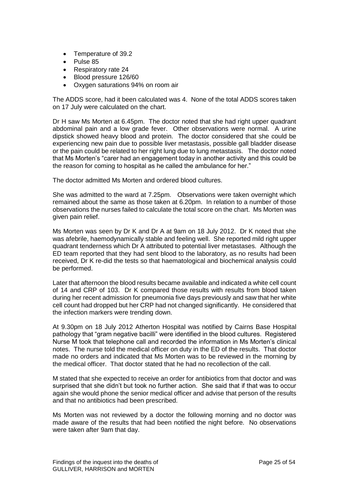- Temperature of 39.2
- Pulse 85
- Respiratory rate 24
- Blood pressure 126/60
- Oxygen saturations 94% on room air

The ADDS score, had it been calculated was 4. None of the total ADDS scores taken on 17 July were calculated on the chart.

Dr H saw Ms Morten at 6.45pm. The doctor noted that she had right upper quadrant abdominal pain and a low grade fever. Other observations were normal. A urine dipstick showed heavy blood and protein. The doctor considered that she could be experiencing new pain due to possible liver metastasis, possible gall bladder disease or the pain could be related to her right lung due to lung metastasis. The doctor noted that Ms Morten's "carer had an engagement today in another activity and this could be the reason for coming to hospital as he called the ambulance for her."

The doctor admitted Ms Morten and ordered blood cultures.

She was admitted to the ward at 7.25pm. Observations were taken overnight which remained about the same as those taken at 6.20pm. In relation to a number of those observations the nurses failed to calculate the total score on the chart. Ms Morten was given pain relief.

Ms Morten was seen by Dr K and Dr A at 9am on 18 July 2012. Dr K noted that she was afebrile, haemodynamically stable and feeling well. She reported mild right upper quadrant tenderness which Dr A attributed to potential liver metastases. Although the ED team reported that they had sent blood to the laboratory, as no results had been received, Dr K re-did the tests so that haematological and biochemical analysis could be performed.

Later that afternoon the blood results became available and indicated a white cell count of 14 and CRP of 103. Dr K compared those results with results from blood taken during her recent admission for pneumonia five days previously and saw that her white cell count had dropped but her CRP had not changed significantly. He considered that the infection markers were trending down.

At 9.30pm on 18 July 2012 Atherton Hospital was notified by Cairns Base Hospital pathology that "gram negative bacilli" were identified in the blood cultures. Registered Nurse M took that telephone call and recorded the information in Ms Morten's clinical notes. The nurse told the medical officer on duty in the ED of the results. That doctor made no orders and indicated that Ms Morten was to be reviewed in the morning by the medical officer. That doctor stated that he had no recollection of the call.

M stated that she expected to receive an order for antibiotics from that doctor and was surprised that she didn't but took no further action. She said that if that was to occur again she would phone the senior medical officer and advise that person of the results and that no antibiotics had been prescribed.

Ms Morten was not reviewed by a doctor the following morning and no doctor was made aware of the results that had been notified the night before. No observations were taken after 9am that day.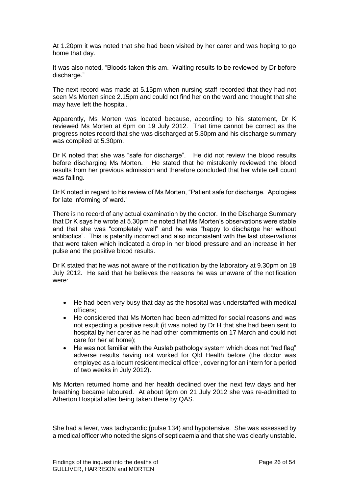At 1.20pm it was noted that she had been visited by her carer and was hoping to go home that day.

It was also noted, "Bloods taken this am. Waiting results to be reviewed by Dr before discharge."

The next record was made at 5.15pm when nursing staff recorded that they had not seen Ms Morten since 2.15pm and could not find her on the ward and thought that she may have left the hospital.

Apparently, Ms Morten was located because, according to his statement, Dr K reviewed Ms Morten at 6pm on 19 July 2012. That time cannot be correct as the progress notes record that she was discharged at 5.30pm and his discharge summary was compiled at 5.30pm.

Dr K noted that she was "safe for discharge". He did not review the blood results before discharging Ms Morten. He stated that he mistakenly reviewed the blood results from her previous admission and therefore concluded that her white cell count was falling.

Dr K noted in regard to his review of Ms Morten, "Patient safe for discharge. Apologies for late informing of ward."

There is no record of any actual examination by the doctor. In the Discharge Summary that Dr K says he wrote at 5.30pm he noted that Ms Morten's observations were stable and that she was "completely well" and he was "happy to discharge her without antibiotics". This is patently incorrect and also inconsistent with the last observations that were taken which indicated a drop in her blood pressure and an increase in her pulse and the positive blood results.

Dr K stated that he was not aware of the notification by the laboratory at 9.30pm on 18 July 2012. He said that he believes the reasons he was unaware of the notification were:

- He had been very busy that day as the hospital was understaffed with medical officers;
- He considered that Ms Morten had been admitted for social reasons and was not expecting a positive result (it was noted by Dr H that she had been sent to hospital by her carer as he had other commitments on 17 March and could not care for her at home);
- He was not familiar with the Auslab pathology system which does not "red flag" adverse results having not worked for Qld Health before (the doctor was employed as a locum resident medical officer, covering for an intern for a period of two weeks in July 2012).

Ms Morten returned home and her health declined over the next few days and her breathing became laboured. At about 9pm on 21 July 2012 she was re-admitted to Atherton Hospital after being taken there by QAS.

She had a fever, was tachycardic (pulse 134) and hypotensive. She was assessed by a medical officer who noted the signs of septicaemia and that she was clearly unstable.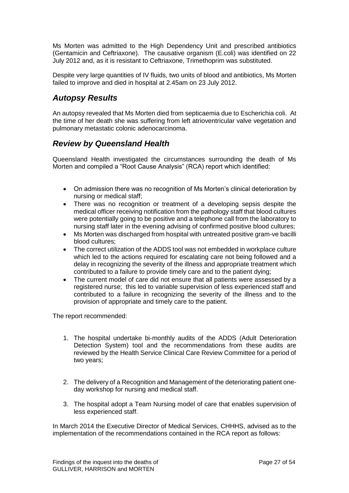Ms Morten was admitted to the High Dependency Unit and prescribed antibiotics (Gentamicin and Ceftriaxone). The causative organism (E.coli) was identified on 22 July 2012 and, as it is resistant to Ceftriaxone, Trimethoprim was substituted.

Despite very large quantities of IV fluids, two units of blood and antibiotics, Ms Morten failed to improve and died in hospital at 2.45am on 23 July 2012.

## *Autopsy Results*

An autopsy revealed that Ms Morten died from septicaemia due to Escherichia coli. At the time of her death she was suffering from left atrioventricular valve vegetation and pulmonary metastatic colonic adenocarcinoma.

## *Review by Queensland Health*

Queensland Health investigated the circumstances surrounding the death of Ms Morten and compiled a "Root Cause Analysis" (RCA) report which identified:

- On admission there was no recognition of Ms Morten's clinical deterioration by nursing or medical staff;
- There was no recognition or treatment of a developing sepsis despite the medical officer receiving notification from the pathology staff that blood cultures were potentially going to be positive and a telephone call from the laboratory to nursing staff later in the evening advising of confirmed positive blood cultures;
- Ms Morten was discharged from hospital with untreated positive gram-ve bacilli blood cultures;
- The correct utilization of the ADDS tool was not embedded in workplace culture which led to the actions required for escalating care not being followed and a delay in recognizing the severity of the illness and appropriate treatment which contributed to a failure to provide timely care and to the patient dying;
- The current model of care did not ensure that all patients were assessed by a registered nurse; this led to variable supervision of less experienced staff and contributed to a failure in recognizing the severity of the illness and to the provision of appropriate and timely care to the patient.

The report recommended:

- 1. The hospital undertake bi-monthly audits of the ADDS (Adult Deterioration Detection System) tool and the recommendations from these audits are reviewed by the Health Service Clinical Care Review Committee for a period of two years;
- 2. The delivery of a Recognition and Management of the deteriorating patient oneday workshop for nursing and medical staff.
- 3. The hospital adopt a Team Nursing model of care that enables supervision of less experienced staff.

In March 2014 the Executive Director of Medical Services, CHHHS, advised as to the implementation of the recommendations contained in the RCA report as follows: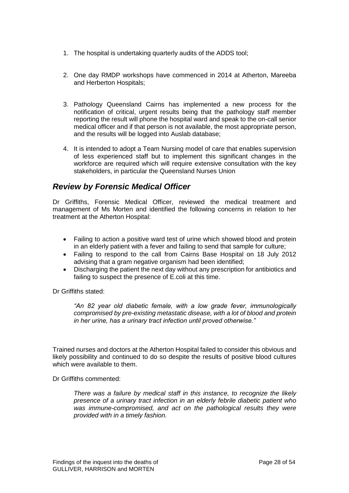- 1. The hospital is undertaking quarterly audits of the ADDS tool;
- 2. One day RMDP workshops have commenced in 2014 at Atherton, Mareeba and Herberton Hospitals;
- 3. Pathology Queensland Cairns has implemented a new process for the notification of critical, urgent results being that the pathology staff member reporting the result will phone the hospital ward and speak to the on-call senior medical officer and if that person is not available, the most appropriate person, and the results will be logged into Auslab database;
- 4. It is intended to adopt a Team Nursing model of care that enables supervision of less experienced staff but to implement this significant changes in the workforce are required which will require extensive consultation with the key stakeholders, in particular the Queensland Nurses Union

# *Review by Forensic Medical Officer*

Dr Griffiths, Forensic Medical Officer, reviewed the medical treatment and management of Ms Morten and identified the following concerns in relation to her treatment at the Atherton Hospital:

- Failing to action a positive ward test of urine which showed blood and protein in an elderly patient with a fever and failing to send that sample for culture;
- Failing to respond to the call from Cairns Base Hospital on 18 July 2012 advising that a gram negative organism had been identified;
- Discharging the patient the next day without any prescription for antibiotics and failing to suspect the presence of E.coli at this time.

Dr Griffiths stated:

*"An 82 year old diabetic female, with a low grade fever, immunologically compromised by pre-existing metastatic disease, with a lot of blood and protein in her urine, has a urinary tract infection until proved otherwise."*

Trained nurses and doctors at the Atherton Hospital failed to consider this obvious and likely possibility and continued to do so despite the results of positive blood cultures which were available to them.

Dr Griffiths commented:

*There was a failure by medical staff in this instance, to recognize the likely presence of a urinary tract infection in an elderly febrile diabetic patient who was immune-compromised, and act on the pathological results they were provided with in a timely fashion.*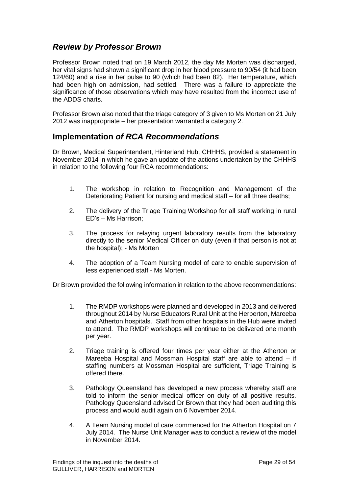# *Review by Professor Brown*

Professor Brown noted that on 19 March 2012, the day Ms Morten was discharged, her vital signs had shown a significant drop in her blood pressure to 90/54 (it had been 124/60) and a rise in her pulse to 90 (which had been 82). Her temperature, which had been high on admission, had settled. There was a failure to appreciate the significance of those observations which may have resulted from the incorrect use of the ADDS charts.

Professor Brown also noted that the triage category of 3 given to Ms Morten on 21 July 2012 was inappropriate – her presentation warranted a category 2.

### **Implementation** *of RCA Recommendations*

Dr Brown, Medical Superintendent, Hinterland Hub, CHHHS, provided a statement in November 2014 in which he gave an update of the actions undertaken by the CHHHS in relation to the following four RCA recommendations:

- 1. The workshop in relation to Recognition and Management of the Deteriorating Patient for nursing and medical staff – for all three deaths;
- 2. The delivery of the Triage Training Workshop for all staff working in rural ED's – Ms Harrison;
- 3. The process for relaying urgent laboratory results from the laboratory directly to the senior Medical Officer on duty (even if that person is not at the hospital); - Ms Morten
- 4. The adoption of a Team Nursing model of care to enable supervision of less experienced staff - Ms Morten.

Dr Brown provided the following information in relation to the above recommendations:

- 1. The RMDP workshops were planned and developed in 2013 and delivered throughout 2014 by Nurse Educators Rural Unit at the Herberton, Mareeba and Atherton hospitals. Staff from other hospitals in the Hub were invited to attend. The RMDP workshops will continue to be delivered one month per year.
- 2. Triage training is offered four times per year either at the Atherton or Mareeba Hospital and Mossman Hospital staff are able to attend – if staffing numbers at Mossman Hospital are sufficient, Triage Training is offered there.
- 3. Pathology Queensland has developed a new process whereby staff are told to inform the senior medical officer on duty of all positive results. Pathology Queensland advised Dr Brown that they had been auditing this process and would audit again on 6 November 2014.
- 4. A Team Nursing model of care commenced for the Atherton Hospital on 7 July 2014. The Nurse Unit Manager was to conduct a review of the model in November 2014.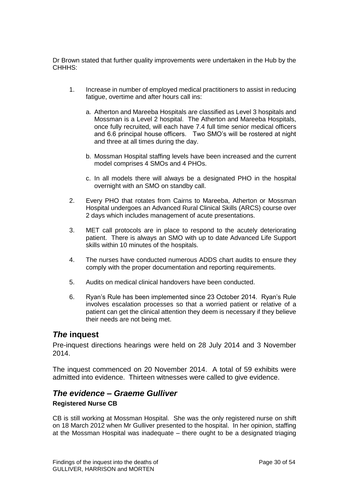Dr Brown stated that further quality improvements were undertaken in the Hub by the CHHHS:

- 1. Increase in number of employed medical practitioners to assist in reducing fatigue, overtime and after hours call ins:
	- a. Atherton and Mareeba Hospitals are classified as Level 3 hospitals and Mossman is a Level 2 hospital. The Atherton and Mareeba Hospitals, once fully recruited, will each have 7.4 full time senior medical officers and 6.6 principal house officers. Two SMO's will be rostered at night and three at all times during the day.
	- b. Mossman Hospital staffing levels have been increased and the current model comprises 4 SMOs and 4 PHOs.
	- c. In all models there will always be a designated PHO in the hospital overnight with an SMO on standby call.
- 2. Every PHO that rotates from Cairns to Mareeba, Atherton or Mossman Hospital undergoes an Advanced Rural Clinical Skills (ARCS) course over 2 days which includes management of acute presentations.
- 3. MET call protocols are in place to respond to the acutely deteriorating patient. There is always an SMO with up to date Advanced Life Support skills within 10 minutes of the hospitals.
- 4. The nurses have conducted numerous ADDS chart audits to ensure they comply with the proper documentation and reporting requirements.
- 5. Audits on medical clinical handovers have been conducted.
- 6. Ryan's Rule has been implemented since 23 October 2014. Ryan's Rule involves escalation processes so that a worried patient or relative of a patient can get the clinical attention they deem is necessary if they believe their needs are not being met.

### *The* **inquest**

Pre-inquest directions hearings were held on 28 July 2014 and 3 November 2014.

The inquest commenced on 20 November 2014. A total of 59 exhibits were admitted into evidence. Thirteen witnesses were called to give evidence.

### *The evidence – Graeme Gulliver*

### **Registered Nurse CB**

CB is still working at Mossman Hospital. She was the only registered nurse on shift on 18 March 2012 when Mr Gulliver presented to the hospital. In her opinion, staffing at the Mossman Hospital was inadequate – there ought to be a designated triaging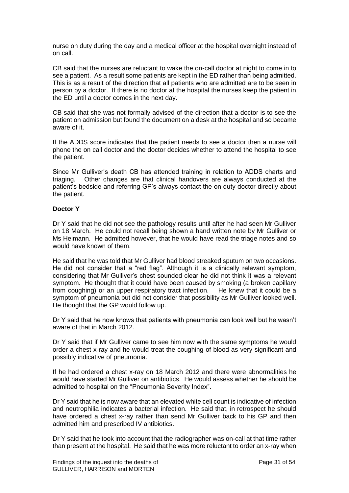nurse on duty during the day and a medical officer at the hospital overnight instead of on call.

CB said that the nurses are reluctant to wake the on-call doctor at night to come in to see a patient. As a result some patients are kept in the ED rather than being admitted. This is as a result of the direction that all patients who are admitted are to be seen in person by a doctor. If there is no doctor at the hospital the nurses keep the patient in the ED until a doctor comes in the next day.

CB said that she was not formally advised of the direction that a doctor is to see the patient on admission but found the document on a desk at the hospital and so became aware of it.

If the ADDS score indicates that the patient needs to see a doctor then a nurse will phone the on call doctor and the doctor decides whether to attend the hospital to see the patient.

Since Mr Gulliver's death CB has attended training in relation to ADDS charts and triaging. Other changes are that clinical handovers are always conducted at the patient's bedside and referring GP's always contact the on duty doctor directly about the patient.

#### **Doctor Y**

Dr Y said that he did not see the pathology results until after he had seen Mr Gulliver on 18 March. He could not recall being shown a hand written note by Mr Gulliver or Ms Heimann. He admitted however, that he would have read the triage notes and so would have known of them.

He said that he was told that Mr Gulliver had blood streaked sputum on two occasions. He did not consider that a "red flag". Although it is a clinically relevant symptom, considering that Mr Gulliver's chest sounded clear he did not think it was a relevant symptom. He thought that it could have been caused by smoking (a broken capillary from coughing) or an upper respiratory tract infection. He knew that it could be a symptom of pneumonia but did not consider that possibility as Mr Gulliver looked well. He thought that the GP would follow up.

Dr Y said that he now knows that patients with pneumonia can look well but he wasn't aware of that in March 2012.

Dr Y said that if Mr Gulliver came to see him now with the same symptoms he would order a chest x-ray and he would treat the coughing of blood as very significant and possibly indicative of pneumonia.

If he had ordered a chest x-ray on 18 March 2012 and there were abnormalities he would have started Mr Gulliver on antibiotics. He would assess whether he should be admitted to hospital on the "Pneumonia Severity Index".

Dr Y said that he is now aware that an elevated white cell count is indicative of infection and neutrophilia indicates a bacterial infection. He said that, in retrospect he should have ordered a chest x-ray rather than send Mr Gulliver back to his GP and then admitted him and prescribed IV antibiotics.

Dr Y said that he took into account that the radiographer was on-call at that time rather than present at the hospital. He said that he was more reluctant to order an x-ray when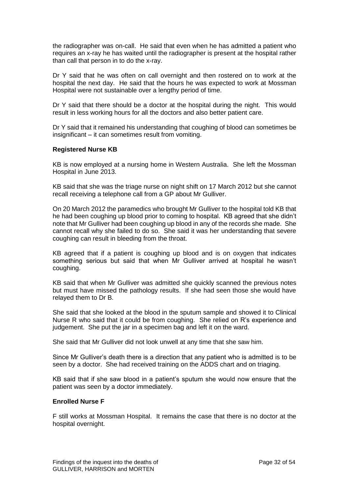the radiographer was on-call. He said that even when he has admitted a patient who requires an x-ray he has waited until the radiographer is present at the hospital rather than call that person in to do the x-ray.

Dr Y said that he was often on call overnight and then rostered on to work at the hospital the next day. He said that the hours he was expected to work at Mossman Hospital were not sustainable over a lengthy period of time.

Dr Y said that there should be a doctor at the hospital during the night. This would result in less working hours for all the doctors and also better patient care.

Dr Y said that it remained his understanding that coughing of blood can sometimes be insignificant – it can sometimes result from vomiting.

#### **Registered Nurse KB**

KB is now employed at a nursing home in Western Australia. She left the Mossman Hospital in June 2013.

KB said that she was the triage nurse on night shift on 17 March 2012 but she cannot recall receiving a telephone call from a GP about Mr Gulliver.

On 20 March 2012 the paramedics who brought Mr Gulliver to the hospital told KB that he had been coughing up blood prior to coming to hospital. KB agreed that she didn't note that Mr Gulliver had been coughing up blood in any of the records she made. She cannot recall why she failed to do so. She said it was her understanding that severe coughing can result in bleeding from the throat.

KB agreed that if a patient is coughing up blood and is on oxygen that indicates something serious but said that when Mr Gulliver arrived at hospital he wasn't coughing.

KB said that when Mr Gulliver was admitted she quickly scanned the previous notes but must have missed the pathology results. If she had seen those she would have relayed them to Dr B.

She said that she looked at the blood in the sputum sample and showed it to Clinical Nurse R who said that it could be from coughing. She relied on R's experience and judgement. She put the jar in a specimen bag and left it on the ward.

She said that Mr Gulliver did not look unwell at any time that she saw him.

Since Mr Gulliver's death there is a direction that any patient who is admitted is to be seen by a doctor. She had received training on the ADDS chart and on triaging.

KB said that if she saw blood in a patient's sputum she would now ensure that the patient was seen by a doctor immediately.

#### **Enrolled Nurse F**

F still works at Mossman Hospital. It remains the case that there is no doctor at the hospital overnight.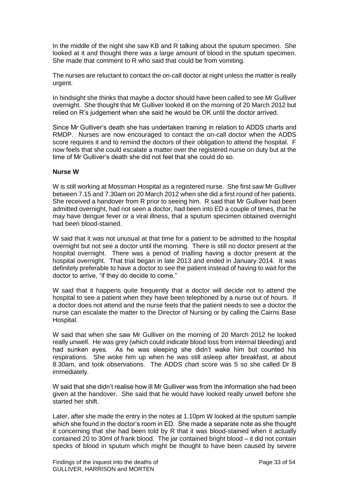In the middle of the night she saw KB and R talking about the sputum specimen. She looked at it and thought there was a large amount of blood in the sputum specimen. She made that comment to R who said that could be from vomiting.

The nurses are reluctant to contact the on-call doctor at night unless the matter is really urgent.

In hindsight she thinks that maybe a doctor should have been called to see Mr Gulliver overnight. She thought that Mr Gulliver looked ill on the morning of 20 March 2012 but relied on R's judgement when she said he would be OK until the doctor arrived.

Since Mr Gulliver's death she has undertaken training in relation to ADDS charts and RMDP. Nurses are now encouraged to contact the on-call doctor when the ADDS score requires it and to remind the doctors of their obligation to attend the hospital. F now feels that she could escalate a matter over the registered nurse on duty but at the time of Mr Gulliver's death she did not feel that she could do so.

#### **Nurse W**

W is still working at Mossman Hospital as a registered nurse. She first saw Mr Gulliver between 7.15 and 7.30am on 20 March 2012 when she did a first round of her patients. She received a handover from R prior to seeing him. R said that Mr Gulliver had been admitted overnight, had not seen a doctor, had been into ED a couple of times, that he may have dengue fever or a viral illness, that a sputum specimen obtained overnight had been blood-stained.

W said that it was not unusual at that time for a patient to be admitted to the hospital overnight but not see a doctor until the morning. There is still no doctor present at the hospital overnight. There was a period of trialling having a doctor present at the hospital overnight. That trial began in late 2013 and ended in January 2014. It was definitely preferable to have a doctor to see the patient instead of having to wait for the doctor to arrive, "if they do decide to come."

W said that it happens quite frequently that a doctor will decide not to attend the hospital to see a patient when they have been telephoned by a nurse out of hours. If a doctor does not attend and the nurse feels that the patient needs to see a doctor the nurse can escalate the matter to the Director of Nursing or by calling the Cairns Base Hospital.

W said that when she saw Mr Gulliver on the morning of 20 March 2012 he looked really unwell. He was grey (which could indicate blood loss from internal bleeding) and had sunken eyes. As he was sleeping she didn't wake him but counted his respirations. She woke him up when he was still asleep after breakfast, at about 8.30am, and took observations. The ADDS chart score was 5 so she called Dr B immediately.

W said that she didn't realise how ill Mr Gulliver was from the information she had been given at the handover. She said that he would have looked really unwell before she started her shift.

Later, after she made the entry in the notes at 1.10pm W looked at the sputum sample which she found in the doctor's room in ED. She made a separate note as she thought it concerning that she had been told by R that it was blood-stained when it actually contained 20 to 30ml of frank blood. The jar contained bright blood – it did not contain specks of blood in sputum which might be thought to have been caused by severe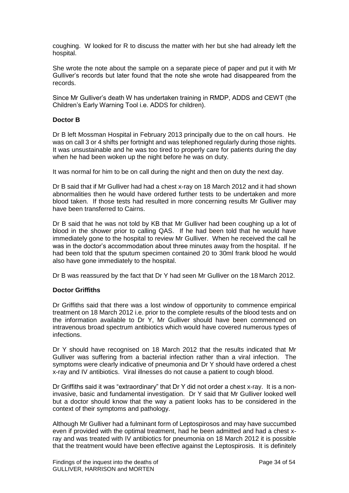coughing. W looked for R to discuss the matter with her but she had already left the hospital.

She wrote the note about the sample on a separate piece of paper and put it with Mr Gulliver's records but later found that the note she wrote had disappeared from the records.

Since Mr Gulliver's death W has undertaken training in RMDP, ADDS and CEWT (the Children's Early Warning Tool i.e. ADDS for children).

#### **Doctor B**

Dr B left Mossman Hospital in February 2013 principally due to the on call hours. He was on call 3 or 4 shifts per fortnight and was telephoned regularly during those nights. It was unsustainable and he was too tired to properly care for patients during the day when he had been woken up the night before he was on duty.

It was normal for him to be on call during the night and then on duty the next day.

Dr B said that if Mr Gulliver had had a chest x-ray on 18 March 2012 and it had shown abnormalities then he would have ordered further tests to be undertaken and more blood taken. If those tests had resulted in more concerning results Mr Gulliver may have been transferred to Cairns.

Dr B said that he was not told by KB that Mr Gulliver had been coughing up a lot of blood in the shower prior to calling QAS. If he had been told that he would have immediately gone to the hospital to review Mr Gulliver. When he received the call he was in the doctor's accommodation about three minutes away from the hospital. If he had been told that the sputum specimen contained 20 to 30ml frank blood he would also have gone immediately to the hospital.

Dr B was reassured by the fact that Dr Y had seen Mr Gulliver on the 18 March 2012.

#### **Doctor Griffiths**

Dr Griffiths said that there was a lost window of opportunity to commence empirical treatment on 18 March 2012 i.e. prior to the complete results of the blood tests and on the information available to Dr Y, Mr Gulliver should have been commenced on intravenous broad spectrum antibiotics which would have covered numerous types of infections.

Dr Y should have recognised on 18 March 2012 that the results indicated that Mr Gulliver was suffering from a bacterial infection rather than a viral infection. The symptoms were clearly indicative of pneumonia and Dr Y should have ordered a chest x-ray and IV antibiotics. Viral illnesses do not cause a patient to cough blood.

Dr Griffiths said it was "extraordinary" that Dr Y did not order a chest x-ray. It is a noninvasive, basic and fundamental investigation. Dr Y said that Mr Gulliver looked well but a doctor should know that the way a patient looks has to be considered in the context of their symptoms and pathology.

Although Mr Gulliver had a fulminant form of Leptospirosos and may have succumbed even if provided with the optimal treatment, had he been admitted and had a chest xray and was treated with IV antibiotics for pneumonia on 18 March 2012 it is possible that the treatment would have been effective against the Leptospirosis. It is definitely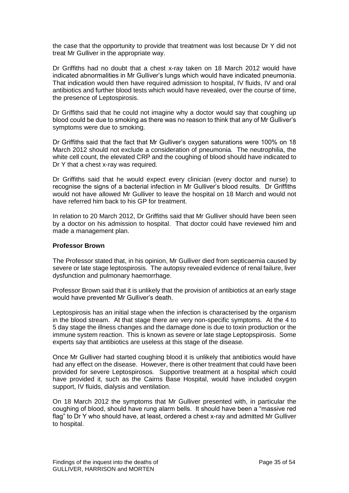the case that the opportunity to provide that treatment was lost because Dr Y did not treat Mr Gulliver in the appropriate way.

Dr Griffiths had no doubt that a chest x-ray taken on 18 March 2012 would have indicated abnormalities in Mr Gulliver's lungs which would have indicated pneumonia. That indication would then have required admission to hospital, IV fluids, IV and oral antibiotics and further blood tests which would have revealed, over the course of time, the presence of Leptospirosis.

Dr Griffiths said that he could not imagine why a doctor would say that coughing up blood could be due to smoking as there was no reason to think that any of Mr Gulliver's symptoms were due to smoking.

Dr Griffiths said that the fact that Mr Gulliver's oxygen saturations were 100% on 18 March 2012 should not exclude a consideration of pneumonia. The neutrophilia, the white cell count, the elevated CRP and the coughing of blood should have indicated to Dr Y that a chest x-ray was required.

Dr Griffiths said that he would expect every clinician (every doctor and nurse) to recognise the signs of a bacterial infection in Mr Gulliver's blood results. Dr Griffiths would not have allowed Mr Gulliver to leave the hospital on 18 March and would not have referred him back to his GP for treatment.

In relation to 20 March 2012, Dr Griffiths said that Mr Gulliver should have been seen by a doctor on his admission to hospital. That doctor could have reviewed him and made a management plan.

#### **Professor Brown**

The Professor stated that, in his opinion, Mr Gulliver died from septicaemia caused by severe or late stage leptospirosis. The autopsy revealed evidence of renal failure, liver dysfunction and pulmonary haemorrhage.

Professor Brown said that it is unlikely that the provision of antibiotics at an early stage would have prevented Mr Gulliver's death.

Leptospirosis has an initial stage when the infection is characterised by the organism in the blood stream. At that stage there are very non-specific symptoms. At the 4 to 5 day stage the illness changes and the damage done is due to toxin production or the immune system reaction. This is known as severe or late stage Leptopspirosis. Some experts say that antibiotics are useless at this stage of the disease.

Once Mr Gulliver had started coughing blood it is unlikely that antibiotics would have had any effect on the disease. However, there is other treatment that could have been provided for severe Leptospirosos. Supportive treatment at a hospital which could have provided it, such as the Cairns Base Hospital, would have included oxygen support, IV fluids, dialysis and ventilation.

On 18 March 2012 the symptoms that Mr Gulliver presented with, in particular the coughing of blood, should have rung alarm bells. It should have been a "massive red flag" to Dr Y who should have, at least, ordered a chest x-ray and admitted Mr Gulliver to hospital.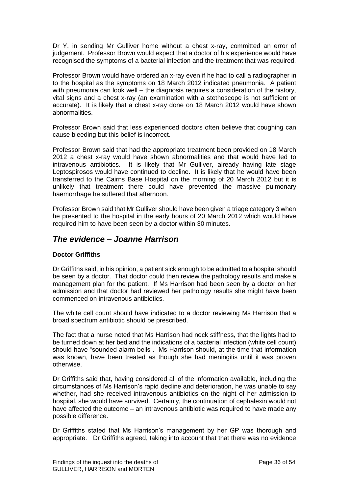Dr Y, in sending Mr Gulliver home without a chest x-ray, committed an error of judgement. Professor Brown would expect that a doctor of his experience would have recognised the symptoms of a bacterial infection and the treatment that was required.

Professor Brown would have ordered an x-ray even if he had to call a radiographer in to the hospital as the symptoms on 18 March 2012 indicated pneumonia. A patient with pneumonia can look well – the diagnosis requires a consideration of the history, vital signs and a chest x-ray (an examination with a stethoscope is not sufficient or accurate). It is likely that a chest x-ray done on 18 March 2012 would have shown abnormalities.

Professor Brown said that less experienced doctors often believe that coughing can cause bleeding but this belief is incorrect.

Professor Brown said that had the appropriate treatment been provided on 18 March 2012 a chest x-ray would have shown abnormalities and that would have led to intravenous antibiotics. It is likely that Mr Gulliver, already having late stage Leptospirosos would have continued to decline. It is likely that he would have been transferred to the Cairns Base Hospital on the morning of 20 March 2012 but it is unlikely that treatment there could have prevented the massive pulmonary haemorrhage he suffered that afternoon.

Professor Brown said that Mr Gulliver should have been given a triage category 3 when he presented to the hospital in the early hours of 20 March 2012 which would have required him to have been seen by a doctor within 30 minutes.

## *The evidence – Joanne Harrison*

### **Doctor Griffiths**

Dr Griffiths said, in his opinion, a patient sick enough to be admitted to a hospital should be seen by a doctor. That doctor could then review the pathology results and make a management plan for the patient. If Ms Harrison had been seen by a doctor on her admission and that doctor had reviewed her pathology results she might have been commenced on intravenous antibiotics.

The white cell count should have indicated to a doctor reviewing Ms Harrison that a broad spectrum antibiotic should be prescribed.

The fact that a nurse noted that Ms Harrison had neck stiffness, that the lights had to be turned down at her bed and the indications of a bacterial infection (white cell count) should have "sounded alarm bells". Ms Harrison should, at the time that information was known, have been treated as though she had meningitis until it was proven otherwise.

Dr Griffiths said that, having considered all of the information available, including the circumstances of Ms Harrison's rapid decline and deterioration, he was unable to say whether, had she received intravenous antibiotics on the night of her admission to hospital, she would have survived. Certainly, the continuation of cephalexin would not have affected the outcome – an intravenous antibiotic was required to have made any possible difference.

Dr Griffiths stated that Ms Harrison's management by her GP was thorough and appropriate. Dr Griffiths agreed, taking into account that that there was no evidence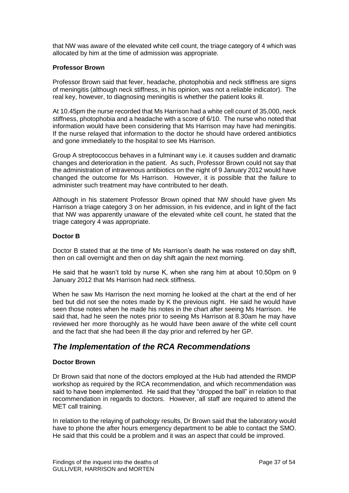that NW was aware of the elevated white cell count, the triage category of 4 which was allocated by him at the time of admission was appropriate.

#### **Professor Brown**

Professor Brown said that fever, headache, photophobia and neck stiffness are signs of meningitis (although neck stiffness, in his opinion, was not a reliable indicator). The real key, however, to diagnosing meningitis is whether the patient looks ill.

At 10.45pm the nurse recorded that Ms Harrison had a white cell count of 35,000, neck stiffness, photophobia and a headache with a score of 6/10. The nurse who noted that information would have been considering that Ms Harrison may have had meningitis. If the nurse relayed that information to the doctor he should have ordered antibiotics and gone immediately to the hospital to see Ms Harrison.

Group A streptococcus behaves in a fulminant way i.e. it causes sudden and dramatic changes and deterioration in the patient. As such, Professor Brown could not say that the administration of intravenous antibiotics on the night of 9 January 2012 would have changed the outcome for Ms Harrison. However, it is possible that the failure to administer such treatment may have contributed to her death.

Although in his statement Professor Brown opined that NW should have given Ms Harrison a triage category 3 on her admission, in his evidence, and in light of the fact that NW was apparently unaware of the elevated white cell count, he stated that the triage category 4 was appropriate.

#### **Doctor B**

Doctor B stated that at the time of Ms Harrison's death he was rostered on day shift, then on call overnight and then on day shift again the next morning.

He said that he wasn't told by nurse K, when she rang him at about 10.50pm on 9 January 2012 that Ms Harrison had neck stiffness.

When he saw Ms Harrison the next morning he looked at the chart at the end of her bed but did not see the notes made by K the previous night. He said he would have seen those notes when he made his notes in the chart after seeing Ms Harrison. He said that, had he seen the notes prior to seeing Ms Harrison at 8.30am he may have reviewed her more thoroughly as he would have been aware of the white cell count and the fact that she had been ill the day prior and referred by her GP.

### *The Implementation of the RCA Recommendations*

#### **Doctor Brown**

Dr Brown said that none of the doctors employed at the Hub had attended the RMDP workshop as required by the RCA recommendation, and which recommendation was said to have been implemented. He said that they "dropped the ball" in relation to that recommendation in regards to doctors. However, all staff are required to attend the MET call training.

In relation to the relaying of pathology results, Dr Brown said that the laboratory would have to phone the after hours emergency department to be able to contact the SMO. He said that this could be a problem and it was an aspect that could be improved.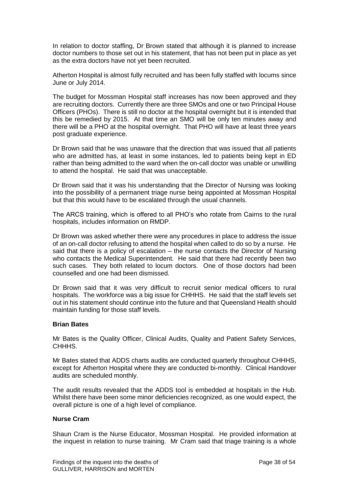In relation to doctor staffing, Dr Brown stated that although it is planned to increase doctor numbers to those set out in his statement, that has not been put in place as yet as the extra doctors have not yet been recruited.

Atherton Hospital is almost fully recruited and has been fully staffed with locums since June or July 2014.

The budget for Mossman Hospital staff increases has now been approved and they are recruiting doctors. Currently there are three SMOs and one or two Principal House Officers (PHOs). There is still no doctor at the hospital overnight but it is intended that this be remedied by 2015. At that time an SMO will be only ten minutes away and there will be a PHO at the hospital overnight. That PHO will have at least three years post graduate experience.

Dr Brown said that he was unaware that the direction that was issued that all patients who are admitted has, at least in some instances, led to patients being kept in ED rather than being admitted to the ward when the on-call doctor was unable or unwilling to attend the hospital. He said that was unacceptable.

Dr Brown said that it was his understanding that the Director of Nursing was looking into the possibility of a permanent triage nurse being appointed at Mossman Hospital but that this would have to be escalated through the usual channels.

The ARCS training, which is offered to all PHO's who rotate from Cairns to the rural hospitals, includes information on RMDP.

Dr Brown was asked whether there were any procedures in place to address the issue of an on-call doctor refusing to attend the hospital when called to do so by a nurse. He said that there is a policy of escalation – the nurse contacts the Director of Nursing who contacts the Medical Superintendent. He said that there had recently been two such cases. They both related to locum doctors. One of those doctors had been counselled and one had been dismissed.

Dr Brown said that it was very difficult to recruit senior medical officers to rural hospitals. The workforce was a big issue for CHHHS. He said that the staff levels set out in his statement should continue into the future and that Queensland Health should maintain funding for those staff levels.

#### **Brian Bates**

Mr Bates is the Quality Officer, Clinical Audits, Quality and Patient Safety Services, CHHHS.

Mr Bates stated that ADDS charts audits are conducted quarterly throughout CHHHS, except for Atherton Hospital where they are conducted bi-monthly. Clinical Handover audits are scheduled monthly.

The audit results revealed that the ADDS tool is embedded at hospitals in the Hub. Whilst there have been some minor deficiencies recognized, as one would expect, the overall picture is one of a high level of compliance.

#### **Nurse Cram**

Shaun Cram is the Nurse Educator, Mossman Hospital. He provided information at the inquest in relation to nurse training. Mr Cram said that triage training is a whole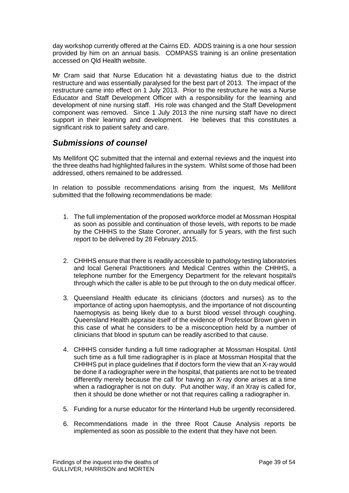day workshop currently offered at the Cairns ED. ADDS training is a one hour session provided by him on an annual basis. COMPASS training is an online presentation accessed on Qld Health website.

Mr Cram said that Nurse Education hit a devastating hiatus due to the district restructure and was essentially paralysed for the best part of 2013. The impact of the restructure came into effect on 1 July 2013. Prior to the restructure he was a Nurse Educator and Staff Development Officer with a responsibility for the learning and development of nine nursing staff. His role was changed and the Staff Development component was removed. Since 1 July 2013 the nine nursing staff have no direct support in their learning and development. He believes that this constitutes a significant risk to patient safety and care.

# *Submissions of counsel*

Ms Mellifont QC submitted that the internal and external reviews and the inquest into the three deaths had highlighted failures in the system. Whilst some of those had been addressed, others remained to be addressed.

In relation to possible recommendations arising from the inquest, Ms Mellifont submitted that the following recommendations be made:

- 1. The full implementation of the proposed workforce model at Mossman Hospital as soon as possible and continuation of those levels, with reports to be made by the CHHHS to the State Coroner, annually for 5 years, with the first such report to be delivered by 28 February 2015.
- 2. CHHHS ensure that there is readily accessible to pathology testing laboratories and local General Practitioners and Medical Centres within the CHHHS, a telephone number for the Emergency Department for the relevant hospital/s through which the caller is able to be put through to the on duty medical officer.
- 3. Queensland Health educate its clinicians (doctors and nurses) as to the importance of acting upon haemoptysis, and the importance of not discounting haemoptysis as being likely due to a burst blood vessel through coughing. Queensland Health appraise itself of the evidence of Professor Brown given in this case of what he considers to be a misconception held by a number of clinicians that blood in sputum can be readily ascribed to that cause.
- 4. CHHHS consider funding a full time radiographer at Mossman Hospital. Until such time as a full time radiographer is in place at Mossman Hospital that the CHHHS put in place guidelines that if doctors form the view that an X-ray would be done if a radiographer were in the hospital, that patients are not to be treated differently merely because the call for having an X-ray done arises at a time when a radiographer is not on duty. Put another way, if an Xray is called for, then it should be done whether or not that requires calling a radiographer in.
- 5. Funding for a nurse educator for the Hinterland Hub be urgently reconsidered.
- 6. Recommendations made in the three Root Cause Analysis reports be implemented as soon as possible to the extent that they have not been.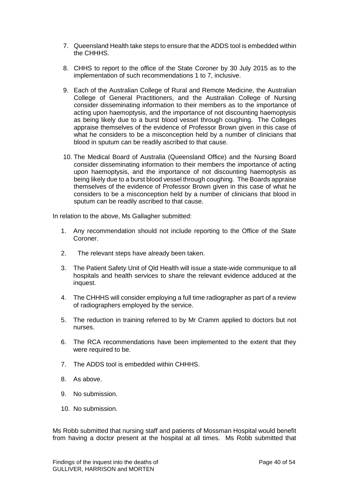- 7. Queensland Health take steps to ensure that the ADDS tool is embedded within the CHHHS.
- 8. CHHS to report to the office of the State Coroner by 30 July 2015 as to the implementation of such recommendations 1 to 7, inclusive.
- 9. Each of the Australian College of Rural and Remote Medicine, the Australian College of General Practitioners, and the Australian College of Nursing consider disseminating information to their members as to the importance of acting upon haemoptysis, and the importance of not discounting haemoptysis as being likely due to a burst blood vessel through coughing. The Colleges appraise themselves of the evidence of Professor Brown given in this case of what he considers to be a misconception held by a number of clinicians that blood in sputum can be readily ascribed to that cause.
- 10. The Medical Board of Australia (Queensland Office) and the Nursing Board consider disseminating information to their members the importance of acting upon haemoptysis, and the importance of not discounting haemoptysis as being likely due to a burst blood vessel through coughing. The Boards appraise themselves of the evidence of Professor Brown given in this case of what he considers to be a misconception held by a number of clinicians that blood in sputum can be readily ascribed to that cause.

In relation to the above, Ms Gallagher submitted:

- 1. Any recommendation should not include reporting to the Office of the State Coroner.
- 2. The relevant steps have already been taken.
- 3. The Patient Safety Unit of Qld Health will issue a state-wide communique to all hospitals and health services to share the relevant evidence adduced at the inquest.
- 4. The CHHHS will consider employing a full time radiographer as part of a review of radiographers employed by the service.
- 5. The reduction in training referred to by Mr Cramm applied to doctors but not nurses.
- 6. The RCA recommendations have been implemented to the extent that they were required to be.
- 7. The ADDS tool is embedded within CHHHS.
- 8. As above.
- 9. No submission.
- 10. No submission.

Ms Robb submitted that nursing staff and patients of Mossman Hospital would benefit from having a doctor present at the hospital at all times. Ms Robb submitted that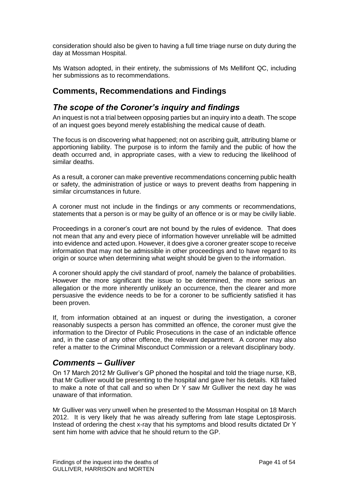consideration should also be given to having a full time triage nurse on duty during the day at Mossman Hospital.

Ms Watson adopted, in their entirety, the submissions of Ms Mellifont QC, including her submissions as to recommendations.

### **Comments, Recommendations and Findings**

### *The scope of the Coroner's inquiry and findings*

An inquest is not a trial between opposing parties but an inquiry into a death. The scope of an inquest goes beyond merely establishing the medical cause of death.

The focus is on discovering what happened; not on ascribing guilt, attributing blame or apportioning liability. The purpose is to inform the family and the public of how the death occurred and, in appropriate cases, with a view to reducing the likelihood of similar deaths.

As a result, a coroner can make preventive recommendations concerning public health or safety, the administration of justice or ways to prevent deaths from happening in similar circumstances in future.

A coroner must not include in the findings or any comments or recommendations, statements that a person is or may be guilty of an offence or is or may be civilly liable.

Proceedings in a coroner's court are not bound by the rules of evidence. That does not mean that any and every piece of information however unreliable will be admitted into evidence and acted upon. However, it does give a coroner greater scope to receive information that may not be admissible in other proceedings and to have regard to its origin or source when determining what weight should be given to the information.

A coroner should apply the civil standard of proof, namely the balance of probabilities. However the more significant the issue to be determined, the more serious an allegation or the more inherently unlikely an occurrence, then the clearer and more persuasive the evidence needs to be for a coroner to be sufficiently satisfied it has been proven.

If, from information obtained at an inquest or during the investigation, a coroner reasonably suspects a person has committed an offence, the coroner must give the information to the Director of Public Prosecutions in the case of an indictable offence and, in the case of any other offence, the relevant department. A coroner may also refer a matter to the Criminal Misconduct Commission or a relevant disciplinary body.

### *Comments – Gulliver*

On 17 March 2012 Mr Gulliver's GP phoned the hospital and told the triage nurse, KB, that Mr Gulliver would be presenting to the hospital and gave her his details. KB failed to make a note of that call and so when Dr Y saw Mr Gulliver the next day he was unaware of that information.

Mr Gulliver was very unwell when he presented to the Mossman Hospital on 18 March 2012. It is very likely that he was already suffering from late stage Leptospirosis. Instead of ordering the chest x-ray that his symptoms and blood results dictated Dr Y sent him home with advice that he should return to the GP.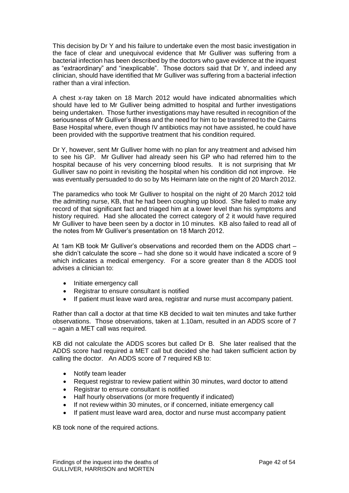This decision by Dr Y and his failure to undertake even the most basic investigation in the face of clear and unequivocal evidence that Mr Gulliver was suffering from a bacterial infection has been described by the doctors who gave evidence at the inquest as "extraordinary" and "inexplicable". Those doctors said that Dr Y, and indeed any clinician, should have identified that Mr Gulliver was suffering from a bacterial infection rather than a viral infection.

A chest x-ray taken on 18 March 2012 would have indicated abnormalities which should have led to Mr Gulliver being admitted to hospital and further investigations being undertaken. Those further investigations may have resulted in recognition of the seriousness of Mr Gulliver's illness and the need for him to be transferred to the Cairns Base Hospital where, even though IV antibiotics may not have assisted, he could have been provided with the supportive treatment that his condition required.

Dr Y, however, sent Mr Gulliver home with no plan for any treatment and advised him to see his GP. Mr Gulliver had already seen his GP who had referred him to the hospital because of his very concerning blood results. It is not surprising that Mr Gulliver saw no point in revisiting the hospital when his condition did not improve. He was eventually persuaded to do so by Ms Heimann late on the night of 20 March 2012.

The paramedics who took Mr Gulliver to hospital on the night of 20 March 2012 told the admitting nurse, KB, that he had been coughing up blood. She failed to make any record of that significant fact and triaged him at a lower level than his symptoms and history required. Had she allocated the correct category of 2 it would have required Mr Gulliver to have been seen by a doctor in 10 minutes. KB also failed to read all of the notes from Mr Gulliver's presentation on 18 March 2012.

At 1am KB took Mr Gulliver's observations and recorded them on the ADDS chart – she didn't calculate the score – had she done so it would have indicated a score of 9 which indicates a medical emergency. For a score greater than 8 the ADDS tool advises a clinician to:

- Initiate emergency call
- Registrar to ensure consultant is notified
- If patient must leave ward area, registrar and nurse must accompany patient.

Rather than call a doctor at that time KB decided to wait ten minutes and take further observations. Those observations, taken at 1.10am, resulted in an ADDS score of 7 – again a MET call was required.

KB did not calculate the ADDS scores but called Dr B. She later realised that the ADDS score had required a MET call but decided she had taken sufficient action by calling the doctor. An ADDS score of 7 required KB to:

- Notify team leader
- Request registrar to review patient within 30 minutes, ward doctor to attend
- Registrar to ensure consultant is notified
- Half hourly observations (or more frequently if indicated)
- If not review within 30 minutes, or if concerned, initiate emergency call
- If patient must leave ward area, doctor and nurse must accompany patient

KB took none of the required actions.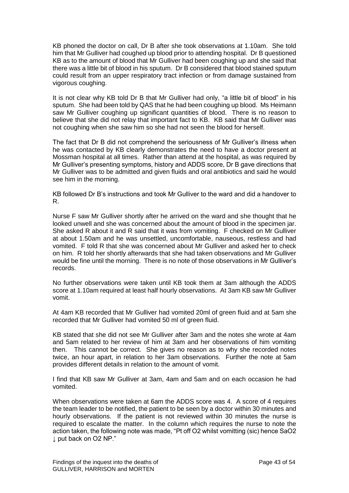KB phoned the doctor on call, Dr B after she took observations at 1.10am. She told him that Mr Gulliver had coughed up blood prior to attending hospital. Dr B questioned KB as to the amount of blood that Mr Gulliver had been coughing up and she said that there was a little bit of blood in his sputum. Dr B considered that blood stained sputum could result from an upper respiratory tract infection or from damage sustained from vigorous coughing.

It is not clear why KB told Dr B that Mr Gulliver had only, "a little bit of blood" in his sputum. She had been told by QAS that he had been coughing up blood. Ms Heimann saw Mr Gulliver coughing up significant quantities of blood. There is no reason to believe that she did not relay that important fact to KB. KB said that Mr Gulliver was not coughing when she saw him so she had not seen the blood for herself.

The fact that Dr B did not comprehend the seriousness of Mr Gulliver's illness when he was contacted by KB clearly demonstrates the need to have a doctor present at Mossman hospital at all times. Rather than attend at the hospital, as was required by Mr Gulliver's presenting symptoms, history and ADDS score, Dr B gave directions that Mr Gulliver was to be admitted and given fluids and oral antibiotics and said he would see him in the morning.

KB followed Dr B's instructions and took Mr Gulliver to the ward and did a handover to R.

Nurse F saw Mr Gulliver shortly after he arrived on the ward and she thought that he looked unwell and she was concerned about the amount of blood in the specimen jar. She asked R about it and R said that it was from vomiting. F checked on Mr Gulliver at about 1.50am and he was unsettled, uncomfortable, nauseous, restless and had vomited. F told R that she was concerned about Mr Gulliver and asked her to check on him. R told her shortly afterwards that she had taken observations and Mr Gulliver would be fine until the morning. There is no note of those observations in Mr Gulliver's records.

No further observations were taken until KB took them at 3am although the ADDS score at 1.10am required at least half hourly observations. At 3am KB saw Mr Gulliver vomit.

At 4am KB recorded that Mr Gulliver had vomited 20ml of green fluid and at 5am she recorded that Mr Gulliver had vomited 50 ml of green fluid.

KB stated that she did not see Mr Gulliver after 3am and the notes she wrote at 4am and 5am related to her review of him at 3am and her observations of him vomiting then. This cannot be correct. She gives no reason as to why she recorded notes twice, an hour apart, in relation to her 3am observations. Further the note at 5am provides different details in relation to the amount of vomit.

I find that KB saw Mr Gulliver at 3am, 4am and 5am and on each occasion he had vomited.

When observations were taken at 6am the ADDS score was 4. A score of 4 requires the team leader to be notified, the patient to be seen by a doctor within 30 minutes and hourly observations. If the patient is not reviewed within 30 minutes the nurse is required to escalate the matter. In the column which requires the nurse to note the action taken, the following note was made, "Pt off O2 whilst vomitting (sic) hence SaO2 ↓ put back on O2 NP."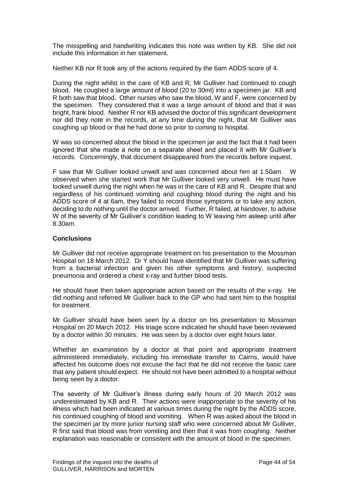The misspelling and handwriting indicates this note was written by KB. She did not include this information in her statement.

Neither KB nor R took any of the actions required by the 6am ADDS score of 4.

During the night whilst in the care of KB and R, Mr Gulliver had continued to cough blood. He coughed a large amount of blood (20 to 30ml) into a specimen jar. KB and R both saw that blood. Other nurses who saw the blood, W and F, were concerned by the specimen. They considered that it was a large amount of blood and that it was bright, frank blood. Neither R nor KB advised the doctor of this significant development nor did they note in the records, at any time during the night, that Mr Gulliver was coughing up blood or that he had done so prior to coming to hospital.

W was so concerned about the blood in the specimen jar and the fact that it had been ignored that she made a note on a separate sheet and placed it with Mr Gulliver's records. Concerningly, that document disappeared from the records before inquest.

F saw that Mr Gulliver looked unwell and was concerned about him at 1.50am. W observed when she started work that Mr Gulliver looked very unwell. He must have looked unwell during the night when he was in the care of KB and R. Despite that and regardless of his continued vomiting and coughing blood during the night and his ADDS score of 4 at 6am, they failed to record those symptoms or to take any action, deciding to do nothing until the doctor arrived. Further, R failed, at handover, to advise W of the severity of Mr Gulliver's condition leading to W leaving him asleep until after 8.30am.

#### **Conclusions**

Mr Gulliver did not receive appropriate treatment on his presentation to the Mossman Hospital on 18 March 2012. Dr Y should have identified that Mr Gulliver was suffering from a bacterial infection and given his other symptoms and history, suspected pneumonia and ordered a chest x-ray and further blood tests.

He should have then taken appropriate action based on the results of the x-ray. He did nothing and referred Mr Gulliver back to the GP who had sent him to the hospital for treatment.

Mr Gulliver should have been seen by a doctor on his presentation to Mossman Hospital on 20 March 2012. His triage score indicated he should have been reviewed by a doctor within 30 minutes. He was seen by a doctor over eight hours later.

Whether an examination by a doctor at that point and appropriate treatment administered immediately, including his immediate transfer to Cairns, would have affected his outcome does not excuse the fact that he did not receive the basic care that any patient should expect. He should not have been admitted to a hospital without being seen by a doctor.

The severity of Mr Gulliver's illness during early hours of 20 March 2012 was underestimated by KB and R. Their actions were inappropriate to the severity of his illness which had been indicated at various times during the night by the ADDS score, his continued coughing of blood and vomiting. When R was asked about the blood in the specimen jar by more junior nursing staff who were concerned about Mr Gulliver, R first said that blood was from vomiting and then that it was from coughing. Neither explanation was reasonable or consistent with the amount of blood in the specimen.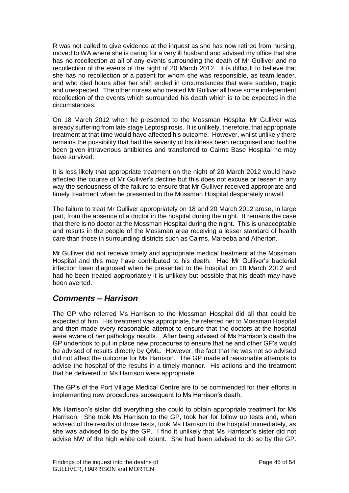R was not called to give evidence at the inquest as she has now retired from nursing, moved to WA where she is caring for a very ill husband and advised my office that she has no recollection at all of any events surrounding the death of Mr Gulliver and no recollection of the events of the night of 20 March 2012. It is difficult to believe that she has no recollection of a patient for whom she was responsible, as team leader, and who died hours after her shift ended in circumstances that were sudden, tragic and unexpected. The other nurses who treated Mr Gulliver all have some independent recollection of the events which surrounded his death which is to be expected in the circumstances.

On 18 March 2012 when he presented to the Mossman Hospital Mr Gulliver was already suffering from late stage Leptospirosis. It is unlikely, therefore, that appropriate treatment at that time would have affected his outcome. However, whilst unlikely there remains the possibility that had the severity of his illness been recognised and had he been given intravenous antibiotics and transferred to Cairns Base Hospital he may have survived.

It is less likely that appropriate treatment on the night of 20 March 2012 would have affected the course of Mr Gulliver's decline but this does not excuse or lessen in any way the seriousness of the failure to ensure that Mr Gulliver received appropriate and timely treatment when he presented to the Mossman Hospital desperately unwell.

The failure to treat Mr Gulliver appropriately on 18 and 20 March 2012 arose, in large part, from the absence of a doctor in the hospital during the night. It remains the case that there is no doctor at the Mossman Hospital during the night. This is unacceptable and results in the people of the Mossman area receiving a lesser standard of health care than those in surrounding districts such as Cairns, Mareeba and Atherton.

Mr Gulliver did not receive timely and appropriate medical treatment at the Mossman Hospital and this may have contributed to his death. Had Mr Gulliver's bacterial infection been diagnosed when he presented to the hospital on 18 March 2012 and had he been treated appropriately it is unlikely but possible that his death may have been averted.

### *Comments – Harrison*

The GP who referred Ms Harrison to the Mossman Hospital did all that could be expected of him. His treatment was appropriate, he referred her to Mossman Hospital and then made every reasonable attempt to ensure that the doctors at the hospital were aware of her pathology results. After being advised of Ms Harrison's death the GP undertook to put in place new procedures to ensure that he and other GP's would be advised of results directly by QML. However, the fact that he was not so advised did not affect the outcome for Ms Harrison. The GP made all reasonable attempts to advise the hospital of the results in a timely manner. His actions and the treatment that he delivered to Ms Harrison were appropriate.

The GP's of the Port Village Medical Centre are to be commended for their efforts in implementing new procedures subsequent to Ms Harrison's death.

Ms Harrison's sister did everything she could to obtain appropriate treatment for Ms Harrison. She took Ms Harrison to the GP, took her for follow up tests and, when advised of the results of those tests, took Ms Harrison to the hospital immediately, as she was advised to do by the GP. I find it unlikely that Ms Harrison's sister did not advise NW of the high white cell count. She had been advised to do so by the GP.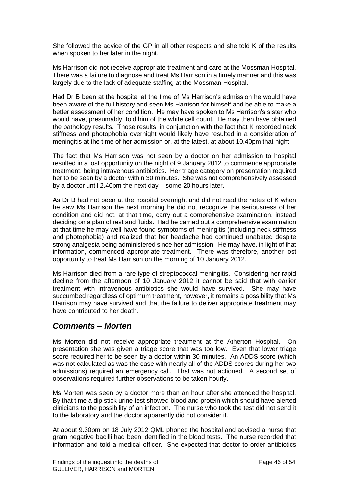She followed the advice of the GP in all other respects and she told K of the results when spoken to her later in the night.

Ms Harrison did not receive appropriate treatment and care at the Mossman Hospital. There was a failure to diagnose and treat Ms Harrison in a timely manner and this was largely due to the lack of adequate staffing at the Mossman Hospital.

Had Dr B been at the hospital at the time of Ms Harrison's admission he would have been aware of the full history and seen Ms Harrison for himself and be able to make a better assessment of her condition. He may have spoken to Ms Harrison's sister who would have, presumably, told him of the white cell count. He may then have obtained the pathology results. Those results, in conjunction with the fact that K recorded neck stiffness and photophobia overnight would likely have resulted in a consideration of meningitis at the time of her admission or, at the latest, at about 10.40pm that night.

The fact that Ms Harrison was not seen by a doctor on her admission to hospital resulted in a lost opportunity on the night of 9 January 2012 to commence appropriate treatment, being intravenous antibiotics. Her triage category on presentation required her to be seen by a doctor within 30 minutes. She was not comprehensively assessed by a doctor until 2.40pm the next day – some 20 hours later.

As Dr B had not been at the hospital overnight and did not read the notes of K when he saw Ms Harrison the next morning he did not recognize the seriousness of her condition and did not, at that time, carry out a comprehensive examination, instead deciding on a plan of rest and fluids. Had he carried out a comprehensive examination at that time he may well have found symptoms of meningitis (including neck stiffness and photophobia) and realized that her headache had continued unabated despite strong analgesia being administered since her admission. He may have, in light of that information, commenced appropriate treatment. There was therefore, another lost opportunity to treat Ms Harrison on the morning of 10 January 2012.

Ms Harrison died from a rare type of streptococcal meningitis. Considering her rapid decline from the afternoon of 10 January 2012 it cannot be said that with earlier treatment with intravenous antibiotics she would have survived. She may have succumbed regardless of optimum treatment, however, it remains a possibility that Ms Harrison may have survived and that the failure to deliver appropriate treatment may have contributed to her death.

### *Comments – Morten*

Ms Morten did not receive appropriate treatment at the Atherton Hospital. On presentation she was given a triage score that was too low. Even that lower triage score required her to be seen by a doctor within 30 minutes. An ADDS score (which was not calculated as was the case with nearly all of the ADDS scores during her two admissions) required an emergency call. That was not actioned. A second set of observations required further observations to be taken hourly.

Ms Morten was seen by a doctor more than an hour after she attended the hospital. By that time a dip stick urine test showed blood and protein which should have alerted clinicians to the possibility of an infection. The nurse who took the test did not send it to the laboratory and the doctor apparently did not consider it.

At about 9.30pm on 18 July 2012 QML phoned the hospital and advised a nurse that gram negative bacilli had been identified in the blood tests. The nurse recorded that information and told a medical officer. She expected that doctor to order antibiotics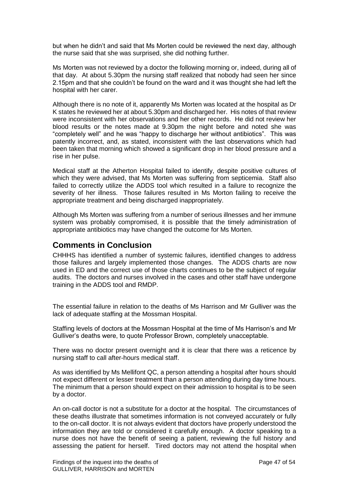but when he didn't and said that Ms Morten could be reviewed the next day, although the nurse said that she was surprised, she did nothing further.

Ms Morten was not reviewed by a doctor the following morning or, indeed, during all of that day. At about 5.30pm the nursing staff realized that nobody had seen her since 2.15pm and that she couldn't be found on the ward and it was thought she had left the hospital with her carer.

Although there is no note of it, apparently Ms Morten was located at the hospital as Dr K states he reviewed her at about 5.30pm and discharged her. His notes of that review were inconsistent with her observations and her other records. He did not review her blood results or the notes made at 9.30pm the night before and noted she was "completely well" and he was "happy to discharge her without antibiotics". This was patently incorrect, and, as stated, inconsistent with the last observations which had been taken that morning which showed a significant drop in her blood pressure and a rise in her pulse.

Medical staff at the Atherton Hospital failed to identify, despite positive cultures of which they were advised, that Ms Morten was suffering from septicemia. Staff also failed to correctly utilize the ADDS tool which resulted in a failure to recognize the severity of her illness. Those failures resulted in Ms Morton failing to receive the appropriate treatment and being discharged inappropriately.

Although Ms Morten was suffering from a number of serious illnesses and her immune system was probably compromised, it is possible that the timely administration of appropriate antibiotics may have changed the outcome for Ms Morten.

### **Comments in Conclusion**

CHHHS has identified a number of systemic failures, identified changes to address those failures and largely implemented those changes. The ADDS charts are now used in ED and the correct use of those charts continues to be the subject of regular audits. The doctors and nurses involved in the cases and other staff have undergone training in the ADDS tool and RMDP.

The essential failure in relation to the deaths of Ms Harrison and Mr Gulliver was the lack of adequate staffing at the Mossman Hospital.

Staffing levels of doctors at the Mossman Hospital at the time of Ms Harrison's and Mr Gulliver's deaths were, to quote Professor Brown, completely unacceptable.

There was no doctor present overnight and it is clear that there was a reticence by nursing staff to call after-hours medical staff.

As was identified by Ms Mellifont QC, a person attending a hospital after hours should not expect different or lesser treatment than a person attending during day time hours. The minimum that a person should expect on their admission to hospital is to be seen by a doctor.

An on-call doctor is not a substitute for a doctor at the hospital. The circumstances of these deaths illustrate that sometimes information is not conveyed accurately or fully to the on-call doctor. It is not always evident that doctors have properly understood the information they are told or considered it carefully enough. A doctor speaking to a nurse does not have the benefit of seeing a patient, reviewing the full history and assessing the patient for herself. Tired doctors may not attend the hospital when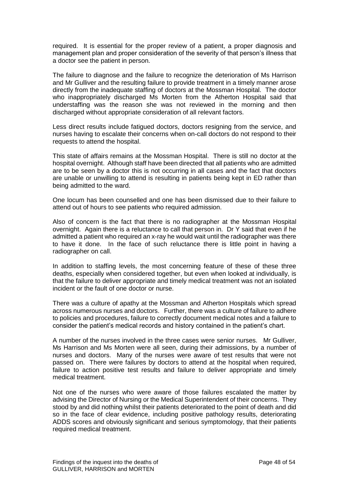required. It is essential for the proper review of a patient, a proper diagnosis and management plan and proper consideration of the severity of that person's illness that a doctor see the patient in person.

The failure to diagnose and the failure to recognize the deterioration of Ms Harrison and Mr Gulliver and the resulting failure to provide treatment in a timely manner arose directly from the inadequate staffing of doctors at the Mossman Hospital. The doctor who inappropriately discharged Ms Morten from the Atherton Hospital said that understaffing was the reason she was not reviewed in the morning and then discharged without appropriate consideration of all relevant factors.

Less direct results include fatigued doctors, doctors resigning from the service, and nurses having to escalate their concerns when on-call doctors do not respond to their requests to attend the hospital.

This state of affairs remains at the Mossman Hospital. There is still no doctor at the hospital overnight. Although staff have been directed that all patients who are admitted are to be seen by a doctor this is not occurring in all cases and the fact that doctors are unable or unwilling to attend is resulting in patients being kept in ED rather than being admitted to the ward.

One locum has been counselled and one has been dismissed due to their failure to attend out of hours to see patients who required admission.

Also of concern is the fact that there is no radiographer at the Mossman Hospital overnight. Again there is a reluctance to call that person in. Dr Y said that even if he admitted a patient who required an x-ray he would wait until the radiographer was there to have it done. In the face of such reluctance there is little point in having a radiographer on call.

In addition to staffing levels, the most concerning feature of these of these three deaths, especially when considered together, but even when looked at individually, is that the failure to deliver appropriate and timely medical treatment was not an isolated incident or the fault of one doctor or nurse.

There was a culture of apathy at the Mossman and Atherton Hospitals which spread across numerous nurses and doctors. Further, there was a culture of failure to adhere to policies and procedures, failure to correctly document medical notes and a failure to consider the patient's medical records and history contained in the patient's chart.

A number of the nurses involved in the three cases were senior nurses. Mr Gulliver, Ms Harrison and Ms Morten were all seen, during their admissions, by a number of nurses and doctors. Many of the nurses were aware of test results that were not passed on. There were failures by doctors to attend at the hospital when required, failure to action positive test results and failure to deliver appropriate and timely medical treatment.

Not one of the nurses who were aware of those failures escalated the matter by advising the Director of Nursing or the Medical Superintendent of their concerns. They stood by and did nothing whilst their patients deteriorated to the point of death and did so in the face of clear evidence, including positive pathology results, deteriorating ADDS scores and obviously significant and serious symptomology, that their patients required medical treatment.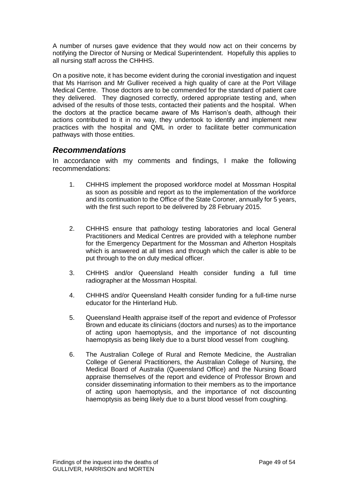A number of nurses gave evidence that they would now act on their concerns by notifying the Director of Nursing or Medical Superintendent. Hopefully this applies to all nursing staff across the CHHHS.

On a positive note, it has become evident during the coronial investigation and inquest that Ms Harrison and Mr Gulliver received a high quality of care at the Port Village Medical Centre. Those doctors are to be commended for the standard of patient care they delivered. They diagnosed correctly, ordered appropriate testing and, when advised of the results of those tests, contacted their patients and the hospital. When the doctors at the practice became aware of Ms Harrison's death, although their actions contributed to it in no way, they undertook to identify and implement new practices with the hospital and QML in order to facilitate better communication pathways with those entities.

### *Recommendations*

In accordance with my comments and findings, I make the following recommendations:

- 1. CHHHS implement the proposed workforce model at Mossman Hospital as soon as possible and report as to the implementation of the workforce and its continuation to the Office of the State Coroner, annually for 5 years, with the first such report to be delivered by 28 February 2015.
- 2. CHHHS ensure that pathology testing laboratories and local General Practitioners and Medical Centres are provided with a telephone number for the Emergency Department for the Mossman and Atherton Hospitals which is answered at all times and through which the caller is able to be put through to the on duty medical officer.
- 3. CHHHS and/or Queensland Health consider funding a full time radiographer at the Mossman Hospital.
- 4. CHHHS and/or Queensland Health consider funding for a full-time nurse educator for the Hinterland Hub.
- 5. Queensland Health appraise itself of the report and evidence of Professor Brown and educate its clinicians (doctors and nurses) as to the importance of acting upon haemoptysis, and the importance of not discounting haemoptysis as being likely due to a burst blood vessel from coughing.
- 6. The Australian College of Rural and Remote Medicine, the Australian College of General Practitioners, the Australian College of Nursing, the Medical Board of Australia (Queensland Office) and the Nursing Board appraise themselves of the report and evidence of Professor Brown and consider disseminating information to their members as to the importance of acting upon haemoptysis, and the importance of not discounting haemoptysis as being likely due to a burst blood vessel from coughing.